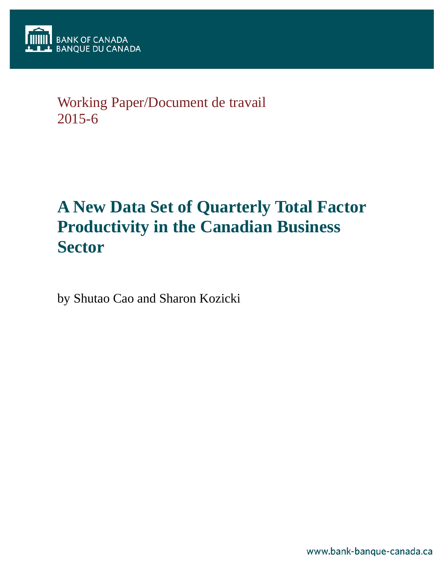

## Working Paper/Document de travail 2015-6

# **A New Data Set of Quarterly Total Factor Productivity in the Canadian Business Sector**

by Shutao Cao and Sharon Kozicki

www.bank-banque-canada.ca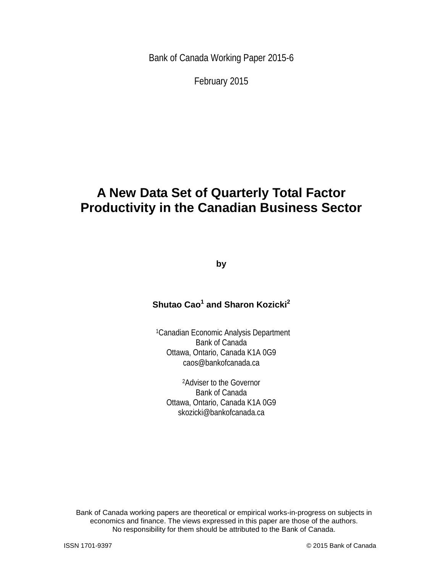Bank of Canada Working Paper 2015-6

February 2015

## **A New Data Set of Quarterly Total Factor Productivity in the Canadian Business Sector**

**by**

## **Shutao Cao1 and Sharon Kozicki<sup>2</sup>**

1Canadian Economic Analysis Department Bank of Canada Ottawa, Ontario, Canada K1A 0G9 caos@bankofcanada.ca

2Adviser to the Governor Bank of Canada Ottawa, Ontario, Canada K1A 0G9 skozicki@bankofcanada.ca

Bank of Canada working papers are theoretical or empirical works-in-progress on subjects in economics and finance. The views expressed in this paper are those of the authors. No responsibility for them should be attributed to the Bank of Canada.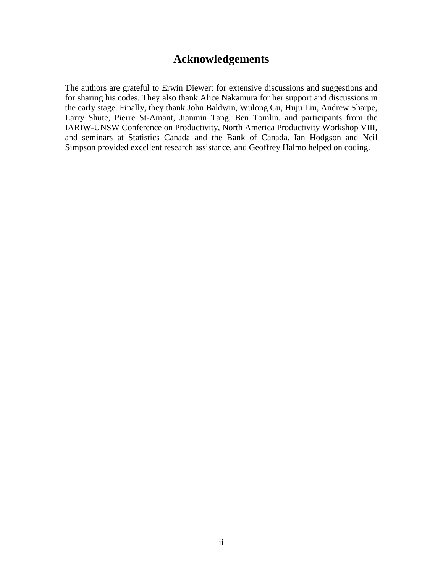## **Acknowledgements**

The authors are grateful to Erwin Diewert for extensive discussions and suggestions and for sharing his codes. They also thank Alice Nakamura for her support and discussions in the early stage. Finally, they thank John Baldwin, Wulong Gu, Huju Liu, Andrew Sharpe, Larry Shute, Pierre St-Amant, Jianmin Tang, Ben Tomlin, and participants from the IARIW-UNSW Conference on Productivity, North America Productivity Workshop VIII, and seminars at Statistics Canada and the Bank of Canada. Ian Hodgson and Neil Simpson provided excellent research assistance, and Geoffrey Halmo helped on coding.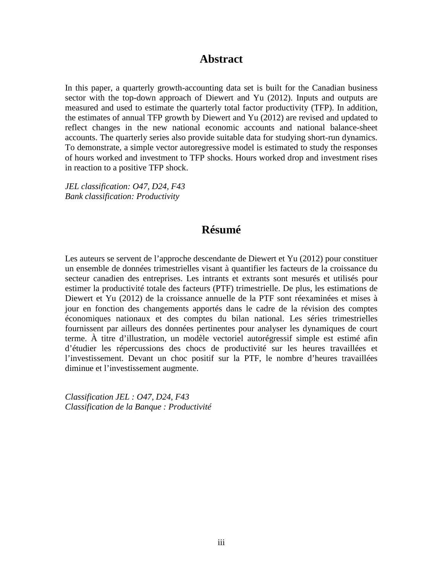## **Abstract**

In this paper, a quarterly growth-accounting data set is built for the Canadian business sector with the top-down approach of Diewert and Yu (2012). Inputs and outputs are measured and used to estimate the quarterly total factor productivity (TFP). In addition, the estimates of annual TFP growth by Diewert and Yu (2012) are revised and updated to reflect changes in the new national economic accounts and national balance-sheet accounts. The quarterly series also provide suitable data for studying short-run dynamics. To demonstrate, a simple vector autoregressive model is estimated to study the responses of hours worked and investment to TFP shocks. Hours worked drop and investment rises in reaction to a positive TFP shock.

*JEL classification: O47, D24, F43 Bank classification: Productivity*

## **Résumé**

Les auteurs se servent de l'approche descendante de Diewert et Yu (2012) pour constituer un ensemble de données trimestrielles visant à quantifier les facteurs de la croissance du secteur canadien des entreprises. Les intrants et extrants sont mesurés et utilisés pour estimer la productivité totale des facteurs (PTF) trimestrielle. De plus, les estimations de Diewert et Yu (2012) de la croissance annuelle de la PTF sont réexaminées et mises à jour en fonction des changements apportés dans le cadre de la révision des comptes économiques nationaux et des comptes du bilan national. Les séries trimestrielles fournissent par ailleurs des données pertinentes pour analyser les dynamiques de court terme. À titre d'illustration, un modèle vectoriel autorégressif simple est estimé afin d'étudier les répercussions des chocs de productivité sur les heures travaillées et l'investissement. Devant un choc positif sur la PTF, le nombre d'heures travaillées diminue et l'investissement augmente.

*Classification JEL : O47, D24, F43 Classification de la Banque : Productivité*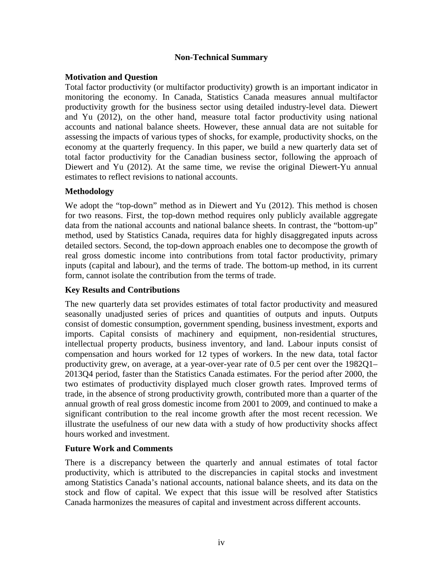## **Non-Technical Summary**

## **Motivation and Question**

Total factor productivity (or multifactor productivity) growth is an important indicator in monitoring the economy. In Canada, Statistics Canada measures annual multifactor productivity growth for the business sector using detailed industry-level data. Diewert and Yu (2012), on the other hand, measure total factor productivity using national accounts and national balance sheets. However, these annual data are not suitable for assessing the impacts of various types of shocks, for example, productivity shocks, on the economy at the quarterly frequency. In this paper, we build a new quarterly data set of total factor productivity for the Canadian business sector, following the approach of Diewert and Yu (2012). At the same time, we revise the original Diewert-Yu annual estimates to reflect revisions to national accounts.

## **Methodology**

We adopt the "top-down" method as in Diewert and Yu (2012). This method is chosen for two reasons. First, the top-down method requires only publicly available aggregate data from the national accounts and national balance sheets. In contrast, the "bottom-up" method, used by Statistics Canada, requires data for highly disaggregated inputs across detailed sectors. Second, the top-down approach enables one to decompose the growth of real gross domestic income into contributions from total factor productivity, primary inputs (capital and labour), and the terms of trade. The bottom-up method, in its current form, cannot isolate the contribution from the terms of trade.

## **Key Results and Contributions**

The new quarterly data set provides estimates of total factor productivity and measured seasonally unadjusted series of prices and quantities of outputs and inputs. Outputs consist of domestic consumption, government spending, business investment, exports and imports. Capital consists of machinery and equipment, non-residential structures, intellectual property products, business inventory, and land. Labour inputs consist of compensation and hours worked for 12 types of workers. In the new data, total factor productivity grew, on average, at a year-over-year rate of 0.5 per cent over the 1982Q1– 2013Q4 period, faster than the Statistics Canada estimates. For the period after 2000, the two estimates of productivity displayed much closer growth rates. Improved terms of trade, in the absence of strong productivity growth, contributed more than a quarter of the annual growth of real gross domestic income from 2001 to 2009, and continued to make a significant contribution to the real income growth after the most recent recession. We illustrate the usefulness of our new data with a study of how productivity shocks affect hours worked and investment.

### **Future Work and Comments**

There is a discrepancy between the quarterly and annual estimates of total factor productivity, which is attributed to the discrepancies in capital stocks and investment among Statistics Canada's national accounts, national balance sheets, and its data on the stock and flow of capital. We expect that this issue will be resolved after Statistics Canada harmonizes the measures of capital and investment across different accounts.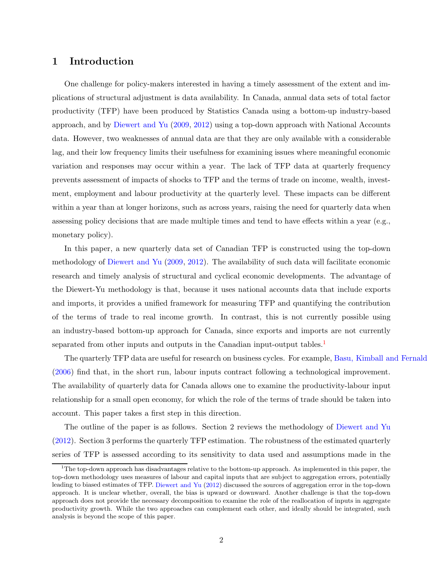### 1 Introduction

One challenge for policy-makers interested in having a timely assessment of the extent and implications of structural adjustment is data availability. In Canada, annual data sets of total factor productivity (TFP) have been produced by Statistics Canada using a bottom-up industry-based approach, and by [Diewert and Yu](#page-18-0) [\(2009](#page-18-0), [2012](#page-18-1)) using a top-down approach with National Accounts data. However, two weaknesses of annual data are that they are only available with a considerable lag, and their low frequency limits their usefulness for examining issues where meaningful economic variation and responses may occur within a year. The lack of TFP data at quarterly frequency prevents assessment of impacts of shocks to TFP and the terms of trade on income, wealth, investment, employment and labour productivity at the quarterly level. These impacts can be different within a year than at longer horizons, such as across years, raising the need for quarterly data when assessing policy decisions that are made multiple times and tend to have effects within a year (e.g., monetary policy).

In this paper, a new quarterly data set of Canadian TFP is constructed using the top-down methodology of [Diewert and Yu](#page-18-0) [\(2009](#page-18-0), [2012](#page-18-1)). The availability of such data will facilitate economic research and timely analysis of structural and cyclical economic developments. The advantage of the Diewert-Yu methodology is that, because it uses national accounts data that include exports and imports, it provides a unified framework for measuring TFP and quantifying the contribution of the terms of trade to real income growth. In contrast, this is not currently possible using an industry-based bottom-up approach for Canada, since exports and imports are not currently separated from other inputs and outputs in the Canadian input-output tables.<sup>[1](#page-5-0)</sup>

The quarterly TFP data are useful for research on business cycles. For example, [Basu, Kimball and Fernald](#page-18-2) [\(2006](#page-18-2)) find that, in the short run, labour inputs contract following a technological improvement. The availability of quarterly data for Canada allows one to examine the productivity-labour input relationship for a small open economy, for which the role of the terms of trade should be taken into account. This paper takes a first step in this direction.

The outline of the paper is as follows. Section 2 reviews the methodology of [Diewert and Yu](#page-18-1) [\(2012](#page-18-1)). Section 3 performs the quarterly TFP estimation. The robustness of the estimated quarterly series of TFP is assessed according to its sensitivity to data used and assumptions made in the

<span id="page-5-0"></span><sup>&</sup>lt;sup>1</sup>The top-down approach has disadvantages relative to the bottom-up approach. As implemented in this paper, the top-down methodology uses measures of labour and capital inputs that are subject to aggregation errors, potentially leading to biased estimates of TFP. [Diewert and Yu](#page-18-1) [\(2012](#page-18-1)) discussed the sources of aggregation error in the top-down approach. It is unclear whether, overall, the bias is upward or downward. Another challenge is that the top-down approach does not provide the necessary decomposition to examine the role of the reallocation of inputs in aggregate productivity growth. While the two approaches can complement each other, and ideally should be integrated, such analysis is beyond the scope of this paper.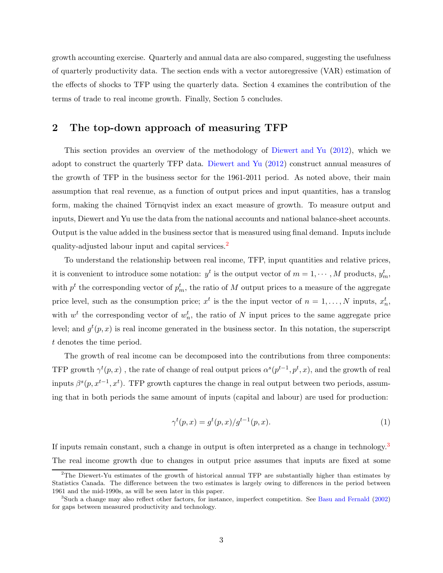growth accounting exercise. Quarterly and annual data are also compared, suggesting the usefulness of quarterly productivity data. The section ends with a vector autoregressive (VAR) estimation of the effects of shocks to TFP using the quarterly data. Section 4 examines the contribution of the terms of trade to real income growth. Finally, Section 5 concludes.

## 2 The top-down approach of measuring TFP

This section provides an overview of the methodology of [Diewert and Yu](#page-18-1) [\(2012](#page-18-1)), which we adopt to construct the quarterly TFP data. [Diewert and Yu](#page-18-1) [\(2012](#page-18-1)) construct annual measures of the growth of TFP in the business sector for the 1961-2011 period. As noted above, their main assumption that real revenue, as a function of output prices and input quantities, has a translog form, making the chained Törnqvist index an exact measure of growth. To measure output and inputs, Diewert and Yu use the data from the national accounts and national balance-sheet accounts. Output is the value added in the business sector that is measured using final demand. Inputs include quality-adjusted labour input and capital services.[2](#page-6-0)

To understand the relationship between real income, TFP, input quantities and relative prices, it is convenient to introduce some notation:  $y^t$  is the output vector of  $m = 1, \dots, M$  products,  $y_m^t$ , with  $p^t$  the corresponding vector of  $p_m^t$ , the ratio of M output prices to a measure of the aggregate price level, such as the consumption price;  $x^t$  is the the input vector of  $n = 1, ..., N$  inputs,  $x_n^t$ , with  $w^t$  the corresponding vector of  $w_n^t$ , the ratio of N input prices to the same aggregate price level; and  $g^t(p,x)$  is real income generated in the business sector. In this notation, the superscript t denotes the time period.

The growth of real income can be decomposed into the contributions from three components: TFP growth  $\gamma^t(p, x)$ , the rate of change of real output prices  $\alpha^s(p^{t-1}, p^t, x)$ , and the growth of real inputs  $\beta^{s}(p, x^{t-1}, x^{t})$ . TFP growth captures the change in real output between two periods, assuming that in both periods the same amount of inputs (capital and labour) are used for production:

$$
\gamma^{t}(p,x) = g^{t}(p,x)/g^{t-1}(p,x).
$$
\n(1)

If inputs remain constant, such a change in output is often interpreted as a change in technology.<sup>[3](#page-6-1)</sup> The real income growth due to changes in output price assumes that inputs are fixed at some

<span id="page-6-0"></span><sup>2</sup>The Diewert-Yu estimates of the growth of historical annual TFP are substantially higher than estimates by Statistics Canada. The difference between the two estimates is largely owing to differences in the period between 1961 and the mid-1990s, as will be seen later in this paper.

<span id="page-6-1"></span> ${}^{3}$ Such a change may also reflect other factors, for instance, imperfect competition. See [Basu and Fernald](#page-18-3) [\(2002](#page-18-3)) for gaps between measured productivity and technology.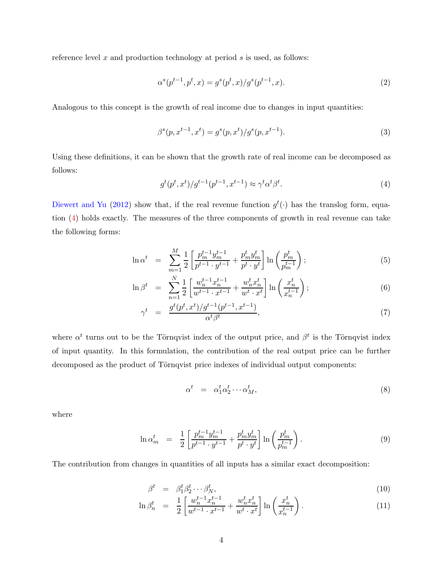reference level  $x$  and production technology at period  $s$  is used, as follows:

$$
\alpha^s(p^{t-1}, p^t, x) = g^s(p^t, x) / g^s(p^{t-1}, x). \tag{2}
$$

Analogous to this concept is the growth of real income due to changes in input quantities:

$$
\beta^{s}(p, x^{t-1}, x^{t}) = g^{s}(p, x^{t})/g^{s}(p, x^{t-1}).
$$
\n(3)

Using these definitions, it can be shown that the growth rate of real income can be decomposed as follows:

<span id="page-7-0"></span>
$$
g^t(p^t, x^t) / g^{t-1}(p^{t-1}, x^{t-1}) \approx \gamma^t \alpha^t \beta^t. \tag{4}
$$

[Diewert and Yu](#page-18-1) [\(2012](#page-18-1)) show that, if the real revenue function  $g^t(\cdot)$  has the translog form, equation [\(4\)](#page-7-0) holds exactly. The measures of the three components of growth in real revenue can take the following forms:

$$
\ln \alpha^{t} = \sum_{m=1}^{M} \frac{1}{2} \left[ \frac{p_{m}^{t-1} y_{m}^{t-1}}{p^{t-1} \cdot y_{m}^{t-1}} + \frac{p_{m}^{t} y_{m}^{t}}{p^{t} \cdot y_{m}^{t}} \right] \ln \left( \frac{p_{m}^{t}}{p_{m}^{t-1}} \right); \tag{5}
$$

$$
\ln \beta^t = \sum_{n=1}^N \frac{1}{2} \left[ \frac{w_n^{t-1} x_n^{t-1}}{w^{t-1} \cdot x^{t-1}} + \frac{w_n^t x_n^t}{w^t \cdot x^t} \right] \ln \left( \frac{x_n^t}{x_n^{t-1}} \right); \tag{6}
$$

$$
\gamma^{t} = \frac{g^{t}(p^{t}, x^{t})/g^{t-1}(p^{t-1}, x^{t-1})}{\alpha^{t}\beta^{t}}, \tag{7}
$$

where  $\alpha^t$  turns out to be the Törnqvist index of the output price, and  $\beta^t$  is the Törnqvist index of input quantity. In this formulation, the contribution of the real output price can be further decomposed as the product of Törnqvist price indexes of individual output components:

$$
\alpha^t = \alpha_1^t \alpha_2^t \cdots \alpha_M^t, \tag{8}
$$

where

$$
\ln \alpha_m^t = \frac{1}{2} \left[ \frac{p_m^{t-1} y_m^{t-1}}{p^{t-1} \cdot y^{t-1}} + \frac{p_m^t y_m^t}{p^t \cdot y^t} \right] \ln \left( \frac{p_m^t}{p_m^{t-1}} \right). \tag{9}
$$

The contribution from changes in quantities of all inputs has a similar exact decomposition:

$$
\beta^t = \beta_1^t \beta_2^t \cdots \beta_N^t, \n1 \upharpoonright w^{t-1} x^{t-1} \qquad w^t x^t \upharpoonright (x^t)
$$
\n(10)

$$
\ln \beta_n^t = \frac{1}{2} \left[ \frac{w_n^{t-1} x_n^{t-1}}{w^{t-1} \cdot x^{t-1}} + \frac{w_n^t x_n^t}{w^t \cdot x^t} \right] \ln \left( \frac{x_n^t}{x_n^{t-1}} \right). \tag{11}
$$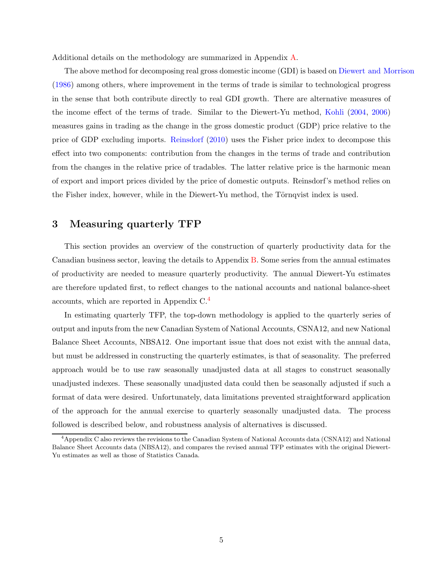Additional details on the methodology are summarized in Appendix [A.](#page-19-0)

The above method for decomposing real gross domestic income (GDI) is based on [Diewert and Morrison](#page-18-4) [\(1986](#page-18-4)) among others, where improvement in the terms of trade is similar to technological progress in the sense that both contribute directly to real GDI growth. There are alternative measures of the income effect of the terms of trade. Similar to the Diewert-Yu method, [Kohli](#page-18-5) [\(2004](#page-18-5), [2006\)](#page-18-6) measures gains in trading as the change in the gross domestic product (GDP) price relative to the price of GDP excluding imports. [Reinsdorf](#page-18-7) [\(2010](#page-18-7)) uses the Fisher price index to decompose this effect into two components: contribution from the changes in the terms of trade and contribution from the changes in the relative price of tradables. The latter relative price is the harmonic mean of export and import prices divided by the price of domestic outputs. Reinsdorf's method relies on the Fisher index, however, while in the Diewert-Yu method, the Törnqvist index is used.

## 3 Measuring quarterly TFP

This section provides an overview of the construction of quarterly productivity data for the Canadian business sector, leaving the details to Appendix [B.](#page-24-0) Some series from the annual estimates of productivity are needed to measure quarterly productivity. The annual Diewert-Yu estimates are therefore updated first, to reflect changes to the national accounts and national balance-sheet accounts, which are reported in Appendix C.[4](#page-8-0)

In estimating quarterly TFP, the top-down methodology is applied to the quarterly series of output and inputs from the new Canadian System of National Accounts, CSNA12, and new National Balance Sheet Accounts, NBSA12. One important issue that does not exist with the annual data, but must be addressed in constructing the quarterly estimates, is that of seasonality. The preferred approach would be to use raw seasonally unadjusted data at all stages to construct seasonally unadjusted indexes. These seasonally unadjusted data could then be seasonally adjusted if such a format of data were desired. Unfortunately, data limitations prevented straightforward application of the approach for the annual exercise to quarterly seasonally unadjusted data. The process followed is described below, and robustness analysis of alternatives is discussed.

<span id="page-8-0"></span><sup>&</sup>lt;sup>4</sup> Appendix C also reviews the revisions to the Canadian System of National Accounts data (CSNA12) and National Balance Sheet Accounts data (NBSA12), and compares the revised annual TFP estimates with the original Diewert-Yu estimates as well as those of Statistics Canada.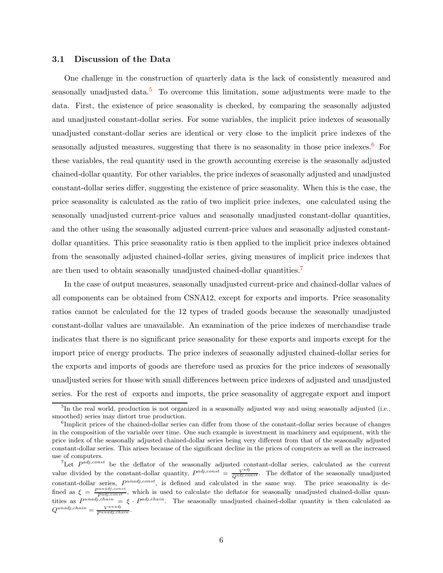#### 3.1 Discussion of the Data

One challenge in the construction of quarterly data is the lack of consistently measured and seasonally unadjusted data.<sup>[5](#page-9-0)</sup> To overcome this limitation, some adjustments were made to the data. First, the existence of price seasonality is checked, by comparing the seasonally adjusted and unadjusted constant-dollar series. For some variables, the implicit price indexes of seasonally unadjusted constant-dollar series are identical or very close to the implicit price indexes of the seasonally adjusted measures, suggesting that there is no seasonality in those price indexes.<sup>[6](#page-9-1)</sup> For these variables, the real quantity used in the growth accounting exercise is the seasonally adjusted chained-dollar quantity. For other variables, the price indexes of seasonally adjusted and unadjusted constant-dollar series differ, suggesting the existence of price seasonality. When this is the case, the price seasonality is calculated as the ratio of two implicit price indexes, one calculated using the seasonally unadjusted current-price values and seasonally unadjusted constant-dollar quantities, and the other using the seasonally adjusted current-price values and seasonally adjusted constantdollar quantities. This price seasonality ratio is then applied to the implicit price indexes obtained from the seasonally adjusted chained-dollar series, giving measures of implicit price indexes that are then used to obtain seasonally unadjusted chained-dollar quantities.[7](#page-9-2)

In the case of output measures, seasonally unadjusted current-price and chained-dollar values of all components can be obtained from CSNA12, except for exports and imports. Price seasonality ratios cannot be calculated for the 12 types of traded goods because the seasonally unadjusted constant-dollar values are unavailable. An examination of the price indexes of merchandise trade indicates that there is no significant price seasonality for these exports and imports except for the import price of energy products. The price indexes of seasonally adjusted chained-dollar series for the exports and imports of goods are therefore used as proxies for the price indexes of seasonally unadjusted series for those with small differences between price indexes of adjusted and unadjusted series. For the rest of exports and imports, the price seasonality of aggregate export and import

<span id="page-9-0"></span><sup>&</sup>lt;sup>5</sup>In the real world, production is not organized in a seasonally adjusted way and using seasonally adjusted (i.e., smoothed) series may distort true production.

<span id="page-9-1"></span><sup>&</sup>lt;sup>6</sup>Implicit prices of the chained-dollar series can differ from those of the constant-dollar series because of changes in the composition of the variable over time. One such example is investment in machinery and equipment, with the price index of the seasonally adjusted chained-dollar series being very different from that of the seasonally adjusted constant-dollar series. This arises because of the significant decline in the prices of computers as well as the increased use of computers.

<span id="page-9-2"></span><sup>&</sup>lt;sup>7</sup>Let  $P^{adj, const}$  be the deflator of the seasonally adjusted constant-dollar series, calculated as the current value divided by the constant-dollar quantity,  $P^{adj, const} = \frac{V^{adj}}{Q^{adj, const}}$ . The deflator of the seasonally unadjusted constant-dollar series,  $P^{unadj, const}$ , is defined and calculated in the same way. The price seasonality is defined as  $\xi = \frac{P^{unadj, const}}{P^{adj, const}}$ , which is used to calculate the deflator for seasonally unadjusted chained-dollar quantities as  $P^{unadj, chain} = \xi \cdot P^{adj, chain}$ . The seasonally unadjusted chained-dollar quantity is then calculated as  $Q^{unadj, chain} = \frac{V^{unadj}}{P^{unadj, chain}}.$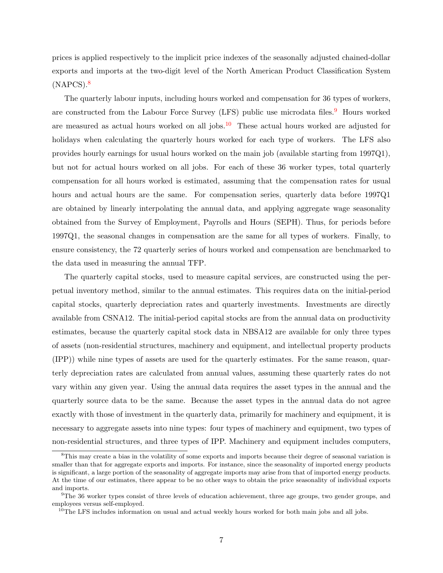prices is applied respectively to the implicit price indexes of the seasonally adjusted chained-dollar exports and imports at the two-digit level of the North American Product Classification System  $(NAPCS).<sup>8</sup>$  $(NAPCS).<sup>8</sup>$  $(NAPCS).<sup>8</sup>$ 

The quarterly labour inputs, including hours worked and compensation for 36 types of workers, are constructed from the Labour Force Survey (LFS) public use microdata files.<sup>[9](#page-10-1)</sup> Hours worked are measured as actual hours worked on all jobs.<sup>[10](#page-10-2)</sup> These actual hours worked are adjusted for holidays when calculating the quarterly hours worked for each type of workers. The LFS also provides hourly earnings for usual hours worked on the main job (available starting from 1997Q1), but not for actual hours worked on all jobs. For each of these 36 worker types, total quarterly compensation for all hours worked is estimated, assuming that the compensation rates for usual hours and actual hours are the same. For compensation series, quarterly data before 1997Q1 are obtained by linearly interpolating the annual data, and applying aggregate wage seasonality obtained from the Survey of Employment, Payrolls and Hours (SEPH). Thus, for periods before 1997Q1, the seasonal changes in compensation are the same for all types of workers. Finally, to ensure consistency, the 72 quarterly series of hours worked and compensation are benchmarked to the data used in measuring the annual TFP.

The quarterly capital stocks, used to measure capital services, are constructed using the perpetual inventory method, similar to the annual estimates. This requires data on the initial-period capital stocks, quarterly depreciation rates and quarterly investments. Investments are directly available from CSNA12. The initial-period capital stocks are from the annual data on productivity estimates, because the quarterly capital stock data in NBSA12 are available for only three types of assets (non-residential structures, machinery and equipment, and intellectual property products (IPP)) while nine types of assets are used for the quarterly estimates. For the same reason, quarterly depreciation rates are calculated from annual values, assuming these quarterly rates do not vary within any given year. Using the annual data requires the asset types in the annual and the quarterly source data to be the same. Because the asset types in the annual data do not agree exactly with those of investment in the quarterly data, primarily for machinery and equipment, it is necessary to aggregate assets into nine types: four types of machinery and equipment, two types of non-residential structures, and three types of IPP. Machinery and equipment includes computers,

<span id="page-10-0"></span><sup>&</sup>lt;sup>8</sup>This may create a bias in the volatility of some exports and imports because their degree of seasonal variation is smaller than that for aggregate exports and imports. For instance, since the seasonality of imported energy products is significant, a large portion of the seasonality of aggregate imports may arise from that of imported energy products. At the time of our estimates, there appear to be no other ways to obtain the price seasonality of individual exports and imports.

<sup>9</sup>The 36 worker types consist of three levels of education achievement, three age groups, two gender groups, and employees versus self-employed.

<span id="page-10-2"></span><span id="page-10-1"></span> $10$ The LFS includes information on usual and actual weekly hours worked for both main jobs and all jobs.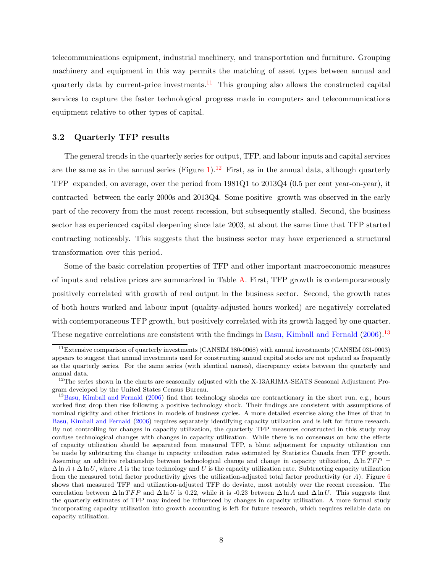telecommunications equipment, industrial machinery, and transportation and furniture. Grouping machinery and equipment in this way permits the matching of asset types between annual and quarterly data by current-price investments.<sup>[11](#page-11-0)</sup> This grouping also allows the constructed capital services to capture the faster technological progress made in computers and telecommunications equipment relative to other types of capital.

#### 3.2 Quarterly TFP results

The general trends in the quarterly series for output, TFP, and labour inputs and capital services are the same as in the annual series (Figure [1\)](#page-40-0).<sup>[12](#page-11-1)</sup> First, as in the annual data, although quarterly TFP expanded, on average, over the period from 1981Q1 to 2013Q4 (0.5 per cent year-on-year), it contracted between the early 2000s and 2013Q4. Some positive growth was observed in the early part of the recovery from the most recent recession, but subsequently stalled. Second, the business sector has experienced capital deepening since late 2003, at about the same time that TFP started contracting noticeably. This suggests that the business sector may have experienced a structural transformation over this period.

Some of the basic correlation properties of TFP and other important macroeconomic measures of inputs and relative prices are summarized in Table [A.](#page-12-0) First, TFP growth is contemporaneously positively correlated with growth of real output in the business sector. Second, the growth rates of both hours worked and labour input (quality-adjusted hours worked) are negatively correlated with contemporaneous TFP growth, but positively correlated with its growth lagged by one quarter. These negative correlations are consistent with the findings in [Basu, Kimball and Fernald](#page-18-2) [\(2006\)](#page-18-2).<sup>[13](#page-11-2)</sup>

<span id="page-11-0"></span><sup>&</sup>lt;sup>11</sup>Extensive comparison of quarterly investments (CANSIM 380-0068) with annual investments (CANSIM 031-0003) appears to suggest that annual investments used for constructing annual capital stocks are not updated as frequently as the quarterly series. For the same series (with identical names), discrepancy exists between the quarterly and annual data.

<span id="page-11-1"></span><sup>&</sup>lt;sup>12</sup>The series shown in the charts are seasonally adjusted with the X-13ARIMA-SEATS Seasonal Adjustment Program developed by the United States Census Bureau.

<span id="page-11-2"></span><sup>&</sup>lt;sup>13</sup>[Basu, Kimball and Fernald](#page-18-2) [\(2006](#page-18-2)) find that technology shocks are contractionary in the short run, e.g., hours worked first drop then rise following a positive technology shock. Their findings are consistent with assumptions of nominal rigidity and other frictions in models of business cycles. A more detailed exercise along the lines of that in [Basu, Kimball and Fernald](#page-18-2) [\(2006](#page-18-2)) requires separately identifying capacity utilization and is left for future research. By not controlling for changes in capacity utilization, the quarterly TFP measures constructed in this study may confuse technological changes with changes in capacity utilization. While there is no consensus on how the effects of capacity utilization should be separated from measured TFP, a blunt adjustment for capacity utilization can be made by subtracting the change in capacity utilization rates estimated by Statistics Canada from TFP growth. Assuming an additive relationship between technological change and change in capacity utilization,  $\Delta \ln TFP =$  $\Delta \ln A + \Delta \ln U$ , where A is the true technology and U is the capacity utilization rate. Subtracting capacity utilization from the measured total factor productivity gives the utilization-adjusted total factor productivity (or  $A$ ). Figure [6](#page-43-0) shows that measured TFP and utilization-adjusted TFP do deviate, most notably over the recent recession. The correlation between  $\Delta \ln TFP$  and  $\Delta \ln U$  is 0.22, while it is -0.23 between  $\Delta \ln A$  and  $\Delta \ln U$ . This suggests that the quarterly estimates of TFP may indeed be influenced by changes in capacity utilization. A more formal study incorporating capacity utilization into growth accounting is left for future research, which requires reliable data on capacity utilization.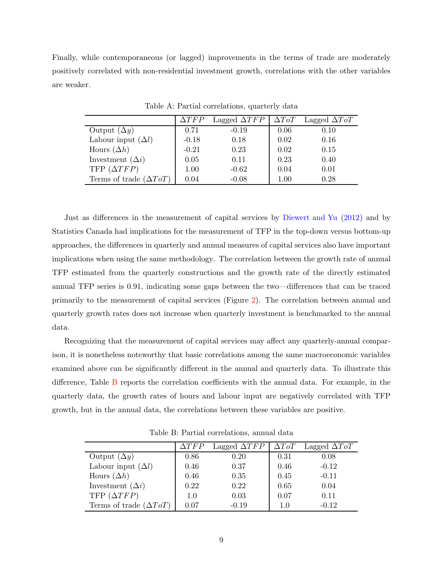Finally, while contemporaneous (or lagged) improvements in the terms of trade are moderately positively correlated with non-residential investment growth, correlations with the other variables are weaker.

|                                      | $\Delta TFP$ | Lagged $\Delta TFP$ | $\Delta T o T$ | Lagged $\Delta T \sigma T$ |
|--------------------------------------|--------------|---------------------|----------------|----------------------------|
| Output $(\Delta y)$                  | 0.71         | $-0.19$             | 0.06           | 0.10                       |
| Labour input $(\Delta l)$            | $-0.18$      | 0.18                | 0.02           | 0.16                       |
| Hours $(\Delta h)$                   | $-0.21$      | 0.23                | 0.02           | 0.15                       |
| Investment $(\Delta i)$              | 0.05         | 0.11                | 0.23           | 0.40                       |
| TFP $(\Delta TFP)$                   | 1.00         | $-0.62$             | 0.04           | 0.01                       |
| Terms of trade $(\Delta T \sigma T)$ | 0.04         | $-0.08$             | 1.00           | 0.28                       |

<span id="page-12-0"></span>Table A: Partial correlations, quarterly data

Just as differences in the measurement of capital services by [Diewert and Yu](#page-18-1) [\(2012](#page-18-1)) and by Statistics Canada had implications for the measurement of TFP in the top-down versus bottom-up approaches, the differences in quarterly and annual measures of capital services also have important implications when using the same methodology. The correlation between the growth rate of annual TFP estimated from the quarterly constructions and the growth rate of the directly estimated annual TFP series is 0.91, indicating some gaps between the two—differences that can be traced primarily to the measurement of capital services (Figure [2\)](#page-41-0). The correlation between annual and quarterly growth rates does not increase when quarterly investment is benchmarked to the annual data.

Recognizing that the measurement of capital services may affect any quarterly-annual comparison, it is nonetheless noteworthy that basic correlations among the same macroeconomic variables examined above can be significantly different in the annual and quarterly data. To illustrate this difference, Table [B](#page-12-1) reports the correlation coefficients with the annual data. For example, in the quarterly data, the growth rates of hours and labour input are negatively correlated with TFP growth, but in the annual data, the correlations between these variables are positive.

|                                      | $\Delta TFP$ | Lagged $\Delta TFP$ | $\Delta T o T$ | Lagged $\Delta T \circ T$ |
|--------------------------------------|--------------|---------------------|----------------|---------------------------|
| Output $(\Delta y)$                  | 0.86         | 0.20                | 0.31           | 0.08                      |
| Labour input $(\Delta l)$            | 0.46         | 0.37                | 0.46           | $-0.12$                   |
| Hours $(\Delta h)$                   | 0.46         | 0.35                | 0.45           | $-0.11$                   |
| Investment $(\Delta i)$              | 0.22         | 0.22                | 0.65           | 0.04                      |
| TFP $(\Delta TFP)$                   | 1.0          | 0.03                | 0.07           | 0.11                      |
| Terms of trade $(\Delta T \sigma T)$ | 0.07         | $-0.19$             | 1.0            | $-0.12$                   |

<span id="page-12-1"></span>Table B: Partial correlations, annual data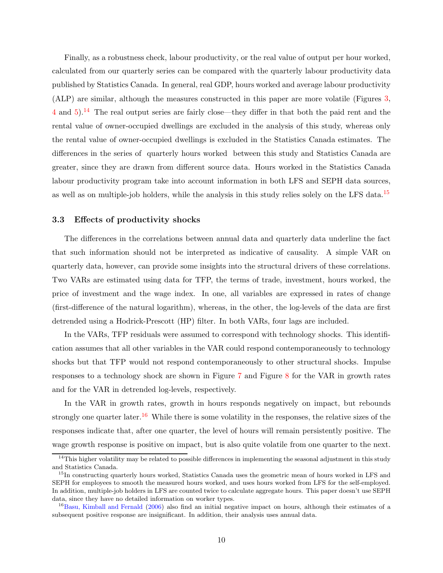Finally, as a robustness check, labour productivity, or the real value of output per hour worked, calculated from our quarterly series can be compared with the quarterly labour productivity data published by Statistics Canada. In general, real GDP, hours worked and average labour productivity (ALP) are similar, although the measures constructed in this paper are more volatile (Figures [3,](#page-41-1) [4](#page-42-0) and [5\)](#page-42-1).[14](#page-13-0) The real output series are fairly close—they differ in that both the paid rent and the rental value of owner-occupied dwellings are excluded in the analysis of this study, whereas only the rental value of owner-occupied dwellings is excluded in the Statistics Canada estimates. The differences in the series of quarterly hours worked between this study and Statistics Canada are greater, since they are drawn from different source data. Hours worked in the Statistics Canada labour productivity program take into account information in both LFS and SEPH data sources, as well as on multiple-job holders, while the analysis in this study relies solely on the LFS data.[15](#page-13-1)

#### 3.3 Effects of productivity shocks

The differences in the correlations between annual data and quarterly data underline the fact that such information should not be interpreted as indicative of causality. A simple VAR on quarterly data, however, can provide some insights into the structural drivers of these correlations. Two VARs are estimated using data for TFP, the terms of trade, investment, hours worked, the price of investment and the wage index. In one, all variables are expressed in rates of change (first-difference of the natural logarithm), whereas, in the other, the log-levels of the data are first detrended using a Hodrick-Prescott (HP) filter. In both VARs, four lags are included.

In the VARs, TFP residuals were assumed to correspond with technology shocks. This identification assumes that all other variables in the VAR could respond contemporaneously to technology shocks but that TFP would not respond contemporaneously to other structural shocks. Impulse responses to a technology shock are shown in Figure [7](#page-43-1) and Figure [8](#page-44-0) for the VAR in growth rates and for the VAR in detrended log-levels, respectively.

In the VAR in growth rates, growth in hours responds negatively on impact, but rebounds strongly one quarter later.<sup>[16](#page-13-2)</sup> While there is some volatility in the responses, the relative sizes of the responses indicate that, after one quarter, the level of hours will remain persistently positive. The wage growth response is positive on impact, but is also quite volatile from one quarter to the next.

<span id="page-13-0"></span> $14$ This higher volatility may be related to possible differences in implementing the seasonal adjustment in this study and Statistics Canada.

<span id="page-13-1"></span><sup>&</sup>lt;sup>15</sup>In constructing quarterly hours worked, Statistics Canada uses the geometric mean of hours worked in LFS and SEPH for employees to smooth the measured hours worked, and uses hours worked from LFS for the self-employed. In addition, multiple-job holders in LFS are counted twice to calculate aggregate hours. This paper doesn't use SEPH data, since they have no detailed information on worker types.

<span id="page-13-2"></span><sup>&</sup>lt;sup>16</sup>[Basu, Kimball and Fernald](#page-18-2) [\(2006](#page-18-2)) also find an initial negative impact on hours, although their estimates of a subsequent positive response are insignificant. In addition, their analysis uses annual data.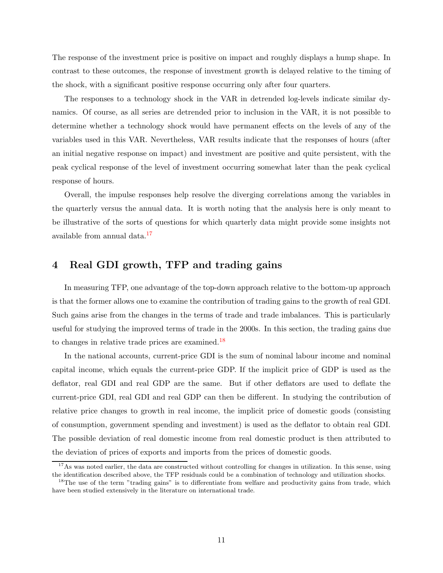The response of the investment price is positive on impact and roughly displays a hump shape. In contrast to these outcomes, the response of investment growth is delayed relative to the timing of the shock, with a significant positive response occurring only after four quarters.

The responses to a technology shock in the VAR in detrended log-levels indicate similar dynamics. Of course, as all series are detrended prior to inclusion in the VAR, it is not possible to determine whether a technology shock would have permanent effects on the levels of any of the variables used in this VAR. Nevertheless, VAR results indicate that the responses of hours (after an initial negative response on impact) and investment are positive and quite persistent, with the peak cyclical response of the level of investment occurring somewhat later than the peak cyclical response of hours.

Overall, the impulse responses help resolve the diverging correlations among the variables in the quarterly versus the annual data. It is worth noting that the analysis here is only meant to be illustrative of the sorts of questions for which quarterly data might provide some insights not available from annual data.[17](#page-14-0)

## 4 Real GDI growth, TFP and trading gains

In measuring TFP, one advantage of the top-down approach relative to the bottom-up approach is that the former allows one to examine the contribution of trading gains to the growth of real GDI. Such gains arise from the changes in the terms of trade and trade imbalances. This is particularly useful for studying the improved terms of trade in the 2000s. In this section, the trading gains due to changes in relative trade prices are examined.[18](#page-14-1)

In the national accounts, current-price GDI is the sum of nominal labour income and nominal capital income, which equals the current-price GDP. If the implicit price of GDP is used as the deflator, real GDI and real GDP are the same. But if other deflators are used to deflate the current-price GDI, real GDI and real GDP can then be different. In studying the contribution of relative price changes to growth in real income, the implicit price of domestic goods (consisting of consumption, government spending and investment) is used as the deflator to obtain real GDI. The possible deviation of real domestic income from real domestic product is then attributed to the deviation of prices of exports and imports from the prices of domestic goods.

<span id="page-14-0"></span> $17\text{ As was noted earlier, the data are constructed without controlling for changes in utilization. In this sense, using}$ the identification described above, the TFP residuals could be a combination of technology and utilization shocks.

<span id="page-14-1"></span><sup>&</sup>lt;sup>18</sup>The use of the term "trading gains" is to differentiate from welfare and productivity gains from trade, which have been studied extensively in the literature on international trade.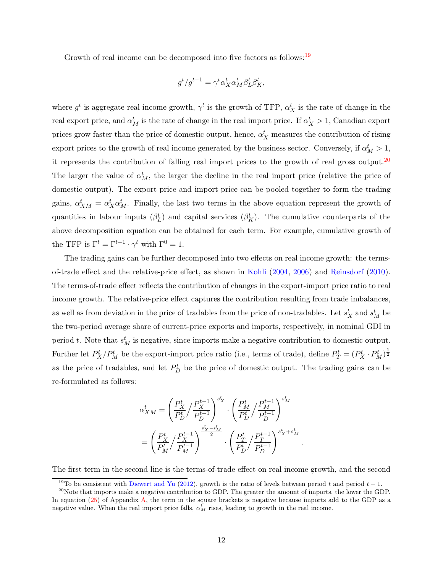Growth of real income can be decomposed into five factors as follows:<sup>[19](#page-15-0)</sup>

$$
g^t/g^{t-1} = \gamma^t \alpha^t_X \alpha^t_M \beta^t_L \beta^t_K,
$$

where  $g^t$  is aggregate real income growth,  $\gamma^t$  is the growth of TFP,  $\alpha^t_X$  is the rate of change in the real export price, and  $\alpha_M^t$  is the rate of change in the real import price. If  $\alpha_X^t > 1$ , Canadian export prices grow faster than the price of domestic output, hence,  $\alpha_X^t$  measures the contribution of rising export prices to the growth of real income generated by the business sector. Conversely, if  $\alpha_M^t > 1$ , it represents the contribution of falling real import prices to the growth of real gross output.[20](#page-15-1) The larger the value of  $\alpha_M^t$ , the larger the decline in the real import price (relative the price of domestic output). The export price and import price can be pooled together to form the trading gains,  $\alpha_{XM}^t = \alpha_X^t \alpha_M^t$ . Finally, the last two terms in the above equation represent the growth of quantities in labour inputs  $(\beta_L^t)$  and capital services  $(\beta_K^t)$ . The cumulative counterparts of the above decomposition equation can be obtained for each term. For example, cumulative growth of the TFP is  $\Gamma^t = \Gamma^{t-1} \cdot \gamma^t$  with  $\Gamma^0 = 1$ .

The trading gains can be further decomposed into two effects on real income growth: the termsof-trade effect and the relative-price effect, as shown in [Kohli](#page-18-5) [\(2004](#page-18-5), [2006](#page-18-6)) and [Reinsdorf](#page-18-7) [\(2010](#page-18-7)). The terms-of-trade effect reflects the contribution of changes in the export-import price ratio to real income growth. The relative-price effect captures the contribution resulting from trade imbalances, as well as from deviation in the price of tradables from the price of non-tradables. Let  $s_X^t$  and  $s_M^t$  be the two-period average share of current-price exports and imports, respectively, in nominal GDI in period t. Note that  $s_M^t$  is negative, since imports make a negative contribution to domestic output. Further let  $P_X^t/P_M^t$  be the export-import price ratio (i.e., terms of trade), define  $P_T^t = (P_X^t \cdot P_M^t)^{\frac{1}{2}}$ as the price of tradables, and let  $P_D^t$  be the price of domestic output. The trading gains can be re-formulated as follows:

$$
\begin{split} \alpha^t_{XM} &= \left(\frac{P_X^t}{P_D^t}\Big/\frac{P_X^{t-1}}{P_D^{t-1}}\right)^{s_X^t} \cdot \left(\frac{P_M^t}{P_D^t}\Big/\frac{P_M^{t-1}}{P_D^{t-1}}\right)^{s_M^t} \\ &= \left(\frac{P_X^t}{P_M^t}\Big/\frac{P_X^{t-1}}{P_M^{t-1}}\right)^{\frac{s_X^t-s_M^t}{2}} \cdot \left(\frac{P_T^t}{P_D^t}\Big/\frac{P_T^{t-1}}{P_D^{t-1}}\right)^{s_X^t+s_M^t} \end{split}
$$

The first term in the second line is the terms-of-trade effect on real income growth, and the second

.

<span id="page-15-0"></span><sup>&</sup>lt;sup>19</sup>To be consistent with [Diewert and Yu](#page-18-1) [\(2012](#page-18-1)), growth is the ratio of levels between period t and period  $t - 1$ .

<span id="page-15-1"></span><sup>&</sup>lt;sup>20</sup>Note that imports make a negative contribution to GDP. The greater the amount of imports, the lower the GDP. In equation [\(25\)](#page-22-0) of Appendix [A,](#page-19-0) the term in the square brackets is negative because imports add to the GDP as a negative value. When the real import price falls,  $\alpha_M^t$  rises, leading to growth in the real income.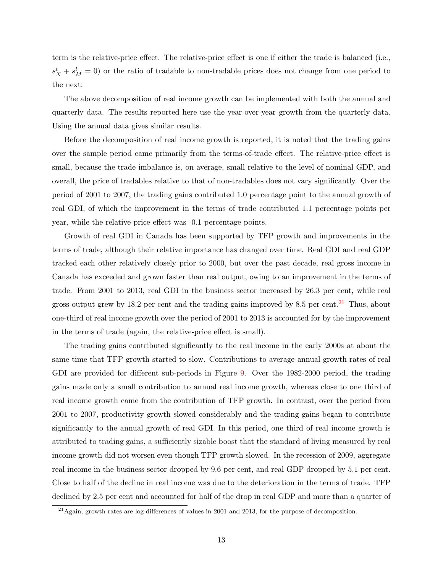term is the relative-price effect. The relative-price effect is one if either the trade is balanced (i.e.,  $s_X^t + s_M^t = 0$  or the ratio of tradable to non-tradable prices does not change from one period to the next.

The above decomposition of real income growth can be implemented with both the annual and quarterly data. The results reported here use the year-over-year growth from the quarterly data. Using the annual data gives similar results.

Before the decomposition of real income growth is reported, it is noted that the trading gains over the sample period came primarily from the terms-of-trade effect. The relative-price effect is small, because the trade imbalance is, on average, small relative to the level of nominal GDP, and overall, the price of tradables relative to that of non-tradables does not vary significantly. Over the period of 2001 to 2007, the trading gains contributed 1.0 percentage point to the annual growth of real GDI, of which the improvement in the terms of trade contributed 1.1 percentage points per year, while the relative-price effect was -0.1 percentage points.

Growth of real GDI in Canada has been supported by TFP growth and improvements in the terms of trade, although their relative importance has changed over time. Real GDI and real GDP tracked each other relatively closely prior to 2000, but over the past decade, real gross income in Canada has exceeded and grown faster than real output, owing to an improvement in the terms of trade. From 2001 to 2013, real GDI in the business sector increased by 26.3 per cent, while real gross output grew by 18.2 per cent and the trading gains improved by 8.5 per cent.<sup>[21](#page-16-0)</sup> Thus, about one-third of real income growth over the period of 2001 to 2013 is accounted for by the improvement in the terms of trade (again, the relative-price effect is small).

The trading gains contributed significantly to the real income in the early 2000s at about the same time that TFP growth started to slow. Contributions to average annual growth rates of real GDI are provided for different sub-periods in Figure [9.](#page-44-1) Over the 1982-2000 period, the trading gains made only a small contribution to annual real income growth, whereas close to one third of real income growth came from the contribution of TFP growth. In contrast, over the period from 2001 to 2007, productivity growth slowed considerably and the trading gains began to contribute significantly to the annual growth of real GDI. In this period, one third of real income growth is attributed to trading gains, a sufficiently sizable boost that the standard of living measured by real income growth did not worsen even though TFP growth slowed. In the recession of 2009, aggregate real income in the business sector dropped by 9.6 per cent, and real GDP dropped by 5.1 per cent. Close to half of the decline in real income was due to the deterioration in the terms of trade. TFP declined by 2.5 per cent and accounted for half of the drop in real GDP and more than a quarter of

<span id="page-16-0"></span> $^{21}$ Again, growth rates are log-differences of values in 2001 and 2013, for the purpose of decomposition.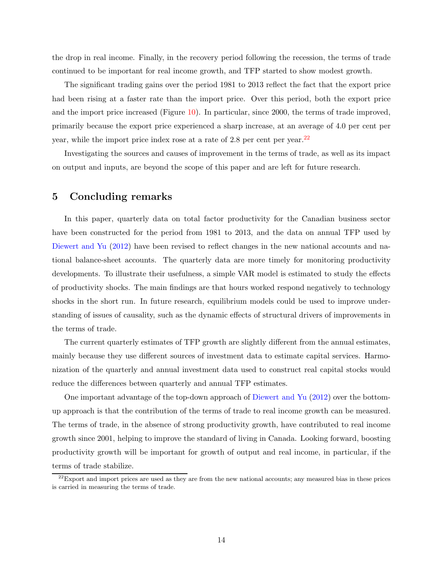the drop in real income. Finally, in the recovery period following the recession, the terms of trade continued to be important for real income growth, and TFP started to show modest growth.

The significant trading gains over the period 1981 to 2013 reflect the fact that the export price had been rising at a faster rate than the import price. Over this period, both the export price and the import price increased (Figure [10\)](#page-45-0). In particular, since 2000, the terms of trade improved, primarily because the export price experienced a sharp increase, at an average of 4.0 per cent per year, while the import price index rose at a rate of 2.8 per cent per year. $^{22}$  $^{22}$  $^{22}$ 

Investigating the sources and causes of improvement in the terms of trade, as well as its impact on output and inputs, are beyond the scope of this paper and are left for future research.

## 5 Concluding remarks

In this paper, quarterly data on total factor productivity for the Canadian business sector have been constructed for the period from 1981 to 2013, and the data on annual TFP used by [Diewert and Yu](#page-18-1) [\(2012](#page-18-1)) have been revised to reflect changes in the new national accounts and national balance-sheet accounts. The quarterly data are more timely for monitoring productivity developments. To illustrate their usefulness, a simple VAR model is estimated to study the effects of productivity shocks. The main findings are that hours worked respond negatively to technology shocks in the short run. In future research, equilibrium models could be used to improve understanding of issues of causality, such as the dynamic effects of structural drivers of improvements in the terms of trade.

The current quarterly estimates of TFP growth are slightly different from the annual estimates, mainly because they use different sources of investment data to estimate capital services. Harmonization of the quarterly and annual investment data used to construct real capital stocks would reduce the differences between quarterly and annual TFP estimates.

One important advantage of the top-down approach of [Diewert and Yu](#page-18-1) [\(2012](#page-18-1)) over the bottomup approach is that the contribution of the terms of trade to real income growth can be measured. The terms of trade, in the absence of strong productivity growth, have contributed to real income growth since 2001, helping to improve the standard of living in Canada. Looking forward, boosting productivity growth will be important for growth of output and real income, in particular, if the terms of trade stabilize.

<span id="page-17-0"></span> $22$ Export and import prices are used as they are from the new national accounts; any measured bias in these prices is carried in measuring the terms of trade.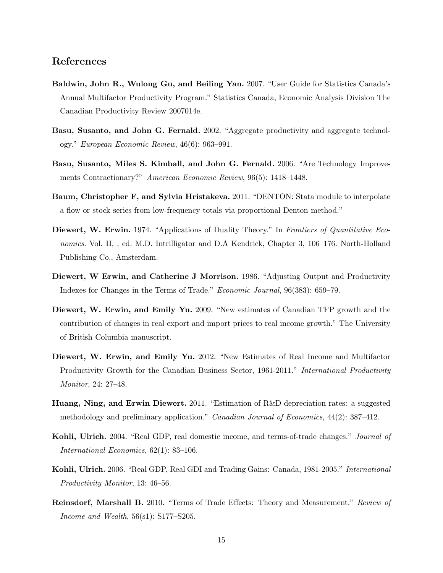## References

- <span id="page-18-11"></span>Baldwin, John R., Wulong Gu, and Beiling Yan. 2007. "User Guide for Statistics Canada's Annual Multifactor Productivity Program." Statistics Canada, Economic Analysis Division The Canadian Productivity Review 2007014e.
- <span id="page-18-3"></span>Basu, Susanto, and John G. Fernald. 2002. "Aggregate productivity and aggregate technology." *European Economic Review*, 46(6): 963–991.
- <span id="page-18-2"></span>Basu, Susanto, Miles S. Kimball, and John G. Fernald. 2006. "Are Technology Improvements Contractionary?" *American Economic Review*, 96(5): 1418–1448.
- <span id="page-18-9"></span>Baum, Christopher F, and Sylvia Hristakeva. 2011. "DENTON: Stata module to interpolate a flow or stock series from low-frequency totals via proportional Denton method."
- <span id="page-18-8"></span>Diewert, W. Erwin. 1974. "Applications of Duality Theory." In *Frontiers of Quantitative Economics*. Vol. II, , ed. M.D. Intrilligator and D.A Kendrick, Chapter 3, 106–176. North-Holland Publishing Co., Amsterdam.
- <span id="page-18-4"></span>Diewert, W Erwin, and Catherine J Morrison. 1986. "Adjusting Output and Productivity Indexes for Changes in the Terms of Trade." *Economic Journal*, 96(383): 659–79.
- <span id="page-18-0"></span>Diewert, W. Erwin, and Emily Yu. 2009. "New estimates of Canadian TFP growth and the contribution of changes in real export and import prices to real income growth." The University of British Columbia manuscript.
- <span id="page-18-1"></span>Diewert, W. Erwin, and Emily Yu. 2012. "New Estimates of Real Income and Multifactor Productivity Growth for the Canadian Business Sector, 1961-2011." *International Productivity Monitor*, 24: 27–48.
- <span id="page-18-10"></span>Huang, Ning, and Erwin Diewert. 2011. "Estimation of R&D depreciation rates: a suggested methodology and preliminary application." *Canadian Journal of Economics*, 44(2): 387–412.
- <span id="page-18-5"></span>Kohli, Ulrich. 2004. "Real GDP, real domestic income, and terms-of-trade changes." *Journal of International Economics*, 62(1): 83–106.
- <span id="page-18-6"></span>Kohli, Ulrich. 2006. "Real GDP, Real GDI and Trading Gains: Canada, 1981-2005." *International Productivity Monitor*, 13: 46–56.
- <span id="page-18-7"></span>Reinsdorf, Marshall B. 2010. "Terms of Trade Effects: Theory and Measurement." *Review of Income and Wealth*, 56(s1): S177–S205.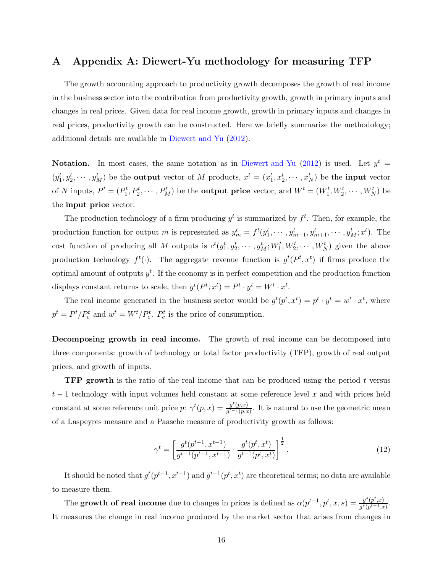### <span id="page-19-0"></span>A Appendix A: Diewert-Yu methodology for measuring TFP

The growth accounting approach to productivity growth decomposes the growth of real income in the business sector into the contribution from productivity growth, growth in primary inputs and changes in real prices. Given data for real income growth, growth in primary inputs and changes in real prices, productivity growth can be constructed. Here we briefly summarize the methodology; additional details are available in [Diewert and Yu](#page-18-1) [\(2012\)](#page-18-1).

Notation. In most cases, the same notation as in [Diewert and Yu](#page-18-1) [\(2012](#page-18-1)) is used. Let  $y^t =$  $(y_1^t, y_2^t, \dots, y_M^t)$  be the **output** vector of M products,  $x^t = (x_1^t, x_2^t, \dots, x_N^t)$  be the **input** vector of N inputs,  $P^t = (P_1^t, P_2^t, \cdots, P_M^t)$  be the **output price** vector, and  $W^t = (W_1^t, W_2^t, \cdots, W_N^t)$  be the input price vector.

The production technology of a firm producing  $y<sup>t</sup>$  is summarized by  $f<sup>t</sup>$ . Then, for example, the production function for output m is represented as  $y_m^t = f^t(y_1^t, \dots, y_{m-1}^t, y_{m+1}^t, \dots, y_M^t; x^t)$ . The cost function of producing all M outputs is  $c^t(y_1^t, y_2^t, \dots, y_M^t; W_1^t, W_2^t, \dots, W_N^t)$  given the above production technology  $f^t(.)$ . The aggregate revenue function is  $g^t(P^t, x^t)$  if firms produce the optimal amount of outputs  $y<sup>t</sup>$ . If the economy is in perfect competition and the production function displays constant returns to scale, then  $g^t(P^t, x^t) = P^t \cdot y^t = W^t \cdot x^t$ .

The real income generated in the business sector would be  $g^t(p^t, x^t) = p^t \cdot y^t = w^t \cdot x^t$ , where  $p^t = P^t/P_c^t$  and  $w^t = W^t/P_c^t$ .  $P_c^t$  is the price of consumption.

Decomposing growth in real income. The growth of real income can be decomposed into three components: growth of technology or total factor productivity (TFP), growth of real output prices, and growth of inputs.

**TFP growth** is the ratio of the real income that can be produced using the period t versus  $t-1$  technology with input volumes held constant at some reference level x and with prices held constant at some reference unit price  $p: \gamma^t(p,x) = \frac{g^t(p,x)}{a^{t-1}(p,x)}$  $\frac{g(p,x)}{g^{t-1}(p,x)}$ . It is natural to use the geometric mean of a Laspeyres measure and a Paasche measure of productivity growth as follows:

$$
\gamma^{t} = \left[ \frac{g^{t}(p^{t-1}, x^{t-1})}{g^{t-1}(p^{t-1}, x^{t-1})} \cdot \frac{g^{t}(p^{t}, x^{t})}{g^{t-1}(p^{t}, x^{t})} \right]^{\frac{1}{2}}.
$$
\n(12)

It should be noted that  $g^t(p^{t-1}, x^{t-1})$  and  $g^{t-1}(p^t, x^t)$  are theoretical terms; no data are available to measure them.

The growth of real income due to changes in prices is defined as  $\alpha(p^{t-1}, p^t, x, s) = \frac{g^s(p^t, x)}{g^s(p^{t-1}, x)}$  $g^s(p^{t-1},x)$ . It measures the change in real income produced by the market sector that arises from changes in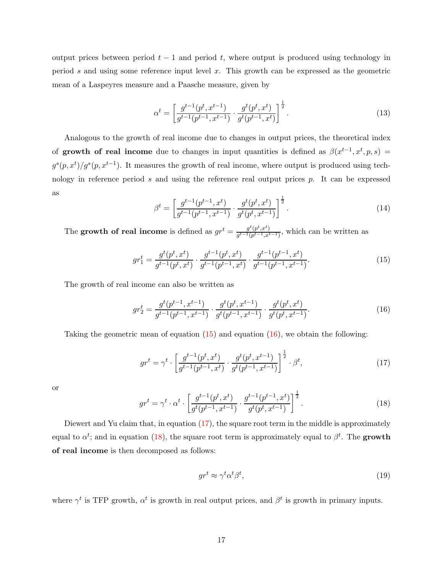output prices between period  $t - 1$  and period t, where output is produced using technology in period s and using some reference input level x. This growth can be expressed as the geometric mean of a Laspeyres measure and a Paasche measure, given by

$$
\alpha^{t} = \left[\frac{g^{t-1}(p^t, x^{t-1})}{g^{t-1}(p^{t-1}, x^{t-1})} \cdot \frac{g^t(p^t, x^t)}{g^t(p^{t-1}, x^t)}\right]^{\frac{1}{2}}.
$$
\n(13)

Analogous to the growth of real income due to changes in output prices, the theoretical index of growth of real income due to changes in input quantities is defined as  $\beta(x^{t-1}, x^t, p, s) =$  $g^{s}(p, x^{t})/g^{s}(p, x^{t-1})$ . It measures the growth of real income, where output is produced using technology in reference period s and using the reference real output prices  $p$ . It can be expressed as

$$
\beta^{t} = \left[ \frac{g^{t-1}(p^{t-1}, x^{t})}{g^{t-1}(p^{t-1}, x^{t-1})} \cdot \frac{g^{t}(p^{t}, x^{t})}{g^{t}(p^{t}, x^{t-1})} \right]^{\frac{1}{2}}.
$$
\n(14)

The growth of real income is defined as  $gr^t = \frac{g^t(p^t, x^t)}{g^{t-1}(n^{t-1}, x^t)}$  $\frac{g(p^x, x^y)}{g^{t-1}(p^{t-1}, x^{t-1})}$ , which can be written as

<span id="page-20-0"></span>
$$
gr_1^t = \frac{g^t(p^t, x^t)}{g^{t-1}(p^t, x^t)} \cdot \frac{g^{t-1}(p^t, x^t)}{g^{t-1}(p^{t-1}, x^t)} \cdot \frac{g^{t-1}(p^{t-1}, x^t)}{g^{t-1}(p^{t-1}, x^{t-1})}.
$$
(15)

The growth of real income can also be written as

<span id="page-20-1"></span>
$$
gr_2^t = \frac{g^t(p^{t-1}, x^{t-1})}{g^{t-1}(p^{t-1}, x^{t-1})} \cdot \frac{g^t(p^t, x^{t-1})}{g^t(p^{t-1}, x^{t-1})} \cdot \frac{g^t(p^t, x^t)}{g^t(p^t, x^{t-1})}.
$$
 (16)

Taking the geometric mean of equation  $(15)$  and equation  $(16)$ , we obtain the following:

<span id="page-20-2"></span>
$$
gr^{t} = \gamma^{t} \cdot \left[ \frac{g^{t-1}(p^{t}, x^{t})}{g^{t-1}(p^{t-1}, x^{t})} \cdot \frac{g^{t}(p^{t}, x^{t-1})}{g^{t}(p^{t-1}, x^{t-1})} \right]^{\frac{1}{2}} \cdot \beta^{t}, \tag{17}
$$

or

<span id="page-20-3"></span>
$$
gr^{t} = \gamma^{t} \cdot \alpha^{t} \cdot \left[ \frac{g^{t-1}(p^{t}, x^{t})}{g^{t}(p^{t-1}, x^{t-1})} \cdot \frac{g^{t-1}(p^{t-1}, x^{t})}{g^{t}(p^{t}, x^{t-1})} \right]^{\frac{1}{2}}.
$$
\n(18)

Diewert and Yu claim that, in equation [\(17\)](#page-20-2), the square root term in the middle is approximately equal to  $\alpha^t$ ; and in equation [\(18\)](#page-20-3), the square root term is approximately equal to  $\beta^t$ . The growth of real income is then decomposed as follows:

<span id="page-20-4"></span>
$$
gr^t \approx \gamma^t \alpha^t \beta^t,\tag{19}
$$

where  $\gamma^t$  is TFP growth,  $\alpha^t$  is growth in real output prices, and  $\beta^t$  is growth in primary inputs.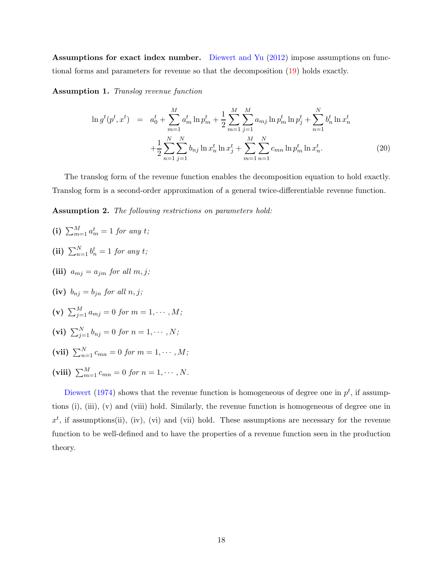Assumptions for exact index number. [Diewert and Yu](#page-18-1) [\(2012](#page-18-1)) impose assumptions on functional forms and parameters for revenue so that the decomposition [\(19\)](#page-20-4) holds exactly.

Assumption 1. *Translog revenue function*

$$
\ln g^t(p^t, x^t) = a_0^t + \sum_{m=1}^M a_m^t \ln p_m^t + \frac{1}{2} \sum_{m=1}^M \sum_{j=1}^M a_{mj} \ln p_m^t \ln p_j^t + \sum_{n=1}^N b_n^t \ln x_n^t + \frac{1}{2} \sum_{n=1}^N \sum_{j=1}^N b_{nj} \ln x_n^t \ln x_j^t + \sum_{m=1}^M \sum_{n=1}^N c_{mn} \ln p_m^t \ln x_n^t.
$$
\n(20)

The translog form of the revenue function enables the decomposition equation to hold exactly. Translog form is a second-order approximation of a general twice-differentiable revenue function.

Assumption 2. *The following restrictions on parameters hold:*

- (i)  $\sum_{m=1}^{M} a_m^t = 1$  *for any t*;
- (ii)  $\sum_{n=1}^{N} b_n^t = 1$  *for any t*;
- (iii)  $a_{mi} = a_{im}$  *for all m, j;*
- (iv)  $b_{ni} = b_{in}$  *for all*  $n, j$ ;
- (v)  $\sum_{j=1}^{M} a_{mj} = 0$  for  $m = 1, \cdots, M$ ;
- (vi)  $\sum_{j=1}^{N} b_{nj} = 0$  for  $n = 1, \dots, N;$
- (vii)  $\sum_{n=1}^{N} c_{mn} = 0$  for  $m = 1, \cdots, M;$
- (viii)  $\sum_{m=1}^{M} c_{mn} = 0$  *for*  $n = 1, \dots, N$ *.*

[Diewert](#page-18-8) [\(1974](#page-18-8)) shows that the revenue function is homogeneous of degree one in  $p<sup>t</sup>$ , if assumptions (i), (iii), (v) and (viii) hold. Similarly, the revenue function is homogeneous of degree one in  $x<sup>t</sup>$ , if assumptions(ii), (iv), (vi) and (vii) hold. These assumptions are necessary for the revenue function to be well-defined and to have the properties of a revenue function seen in the production theory.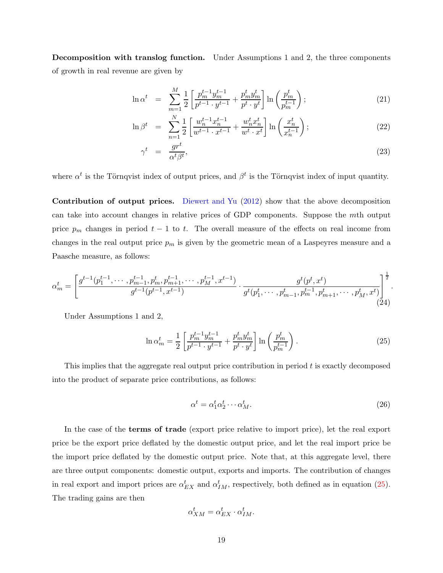Decomposition with translog function. Under Assumptions 1 and 2, the three components of growth in real revenue are given by

$$
\ln \alpha^{t} = \sum_{m=1}^{M} \frac{1}{2} \left[ \frac{p_m^{t-1} y_m^{t-1}}{p^{t-1} \cdot y^{t-1}} + \frac{p_m^t y_m^t}{p^t \cdot y^t} \right] \ln \left( \frac{p_m^t}{p_m^{t-1}} \right); \tag{21}
$$

$$
\ln \beta^t = \sum_{n=1}^N \frac{1}{2} \left[ \frac{w_n^{t-1} x_n^{t-1}}{w^{t-1} \cdot x^{t-1}} + \frac{w_n^t x_n^t}{w^t \cdot x^t} \right] \ln \left( \frac{x_n^t}{x_n^{t-1}} \right); \tag{22}
$$

$$
\gamma^t = \frac{gr^t}{\alpha^t \beta^t},\tag{23}
$$

where  $\alpha^t$  is the Törnqvist index of output prices, and  $\beta^t$  is the Törnqvist index of input quantity.

Contribution of output prices. [Diewert and Yu](#page-18-1) [\(2012](#page-18-1)) show that the above decomposition can take into account changes in relative prices of GDP components. Suppose the mth output price  $p_m$  changes in period  $t - 1$  to t. The overall measure of the effects on real income from changes in the real output price  $p_m$  is given by the geometric mean of a Laspeyres measure and a Paasche measure, as follows:

$$
\alpha_m^t = \left[ \frac{g^{t-1}(p_1^{t-1}, \dots, p_{m-1}^{t-1}, p_m^t, p_{m+1}^{t-1}, \dots, p_M^{t-1}, x^{t-1})}{g^{t-1}(p^{t-1}, x^{t-1})} \cdot \frac{g^t(p_1^t, x^t)}{g^t(p_1^t, \dots, p_{m-1}^t, p_m^{t-1}, p_{m+1}^t, \dots, p_M^t, x^t)} \right]^{\frac{1}{2}}.
$$
\n(24)

Under Assumptions 1 and 2,

<span id="page-22-0"></span>
$$
\ln \alpha_m^t = \frac{1}{2} \left[ \frac{p_m^{t-1} y_m^{t-1}}{p^{t-1} \cdot y_{m}^{t-1}} + \frac{p_m^t y_m^t}{p^t \cdot y_{m}^t} \right] \ln \left( \frac{p_m^t}{p_m^{t-1}} \right). \tag{25}
$$

This implies that the aggregate real output price contribution in period t is exactly decomposed into the product of separate price contributions, as follows:

$$
\alpha^t = \alpha_1^t \alpha_2^t \cdots \alpha_M^t. \tag{26}
$$

In the case of the terms of trade (export price relative to import price), let the real export price be the export price deflated by the domestic output price, and let the real import price be the import price deflated by the domestic output price. Note that, at this aggregate level, there are three output components: domestic output, exports and imports. The contribution of changes in real export and import prices are  $\alpha_{EX}^t$  and  $\alpha_{IM}^t$ , respectively, both defined as in equation [\(25\)](#page-22-0). The trading gains are then

$$
\alpha^t_{XM} = \alpha^t_{EX} \cdot \alpha^t_{IM}.
$$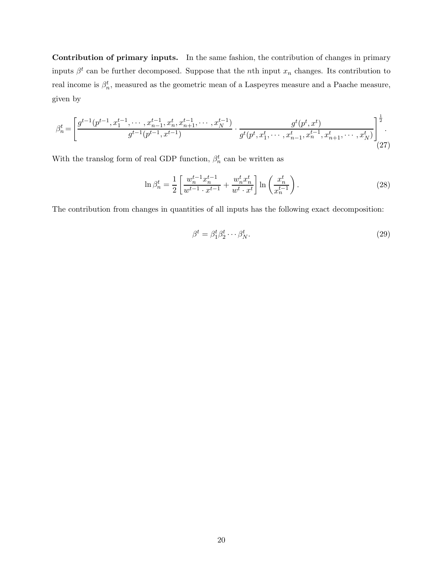Contribution of primary inputs. In the same fashion, the contribution of changes in primary inputs  $\beta^t$  can be further decomposed. Suppose that the *n*th input  $x_n$  changes. Its contribution to real income is  $\beta_n^t$ , measured as the geometric mean of a Laspeyres measure and a Paache measure, given by

$$
\beta_n^t = \left[ \frac{g^{t-1}(p^{t-1}, x_1^{t-1}, \cdots, x_{n-1}^{t-1}, x_n^t, x_{n+1}^{t-1}, \cdots, x_N^{t-1})}{g^{t-1}(p^{t-1}, x^{t-1})} \cdot \frac{g^t(p^t, x^t)}{g^t(p^t, x_1^t, \cdots, x_{n-1}^t, x_n^{t-1}, x_{n+1}^t, \cdots, x_N^t)} \right]^\frac{1}{2}.
$$
\n(27)

With the translog form of real GDP function,  $\beta_n^t$  can be written as

$$
\ln \beta_n^t = \frac{1}{2} \left[ \frac{w_n^{t-1} x_n^{t-1}}{w^{t-1} \cdot x^{t-1}} + \frac{w_n^t x_n^t}{w^t \cdot x^t} \right] \ln \left( \frac{x_n^t}{x_n^{t-1}} \right). \tag{28}
$$

The contribution from changes in quantities of all inputs has the following exact decomposition:

$$
\beta^t = \beta_1^t \beta_2^t \cdots \beta_N^t. \tag{29}
$$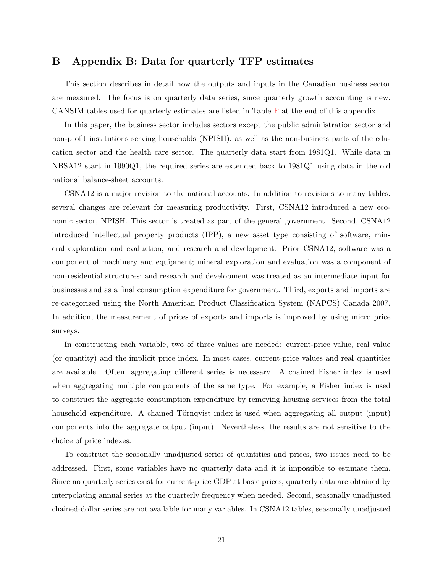## <span id="page-24-0"></span>B Appendix B: Data for quarterly TFP estimates

This section describes in detail how the outputs and inputs in the Canadian business sector are measured. The focus is on quarterly data series, since quarterly growth accounting is new. CANSIM tables used for quarterly estimates are listed in Table [F](#page-34-0) at the end of this appendix.

In this paper, the business sector includes sectors except the public administration sector and non-profit institutions serving households (NPISH), as well as the non-business parts of the education sector and the health care sector. The quarterly data start from 1981Q1. While data in NBSA12 start in 1990Q1, the required series are extended back to 1981Q1 using data in the old national balance-sheet accounts.

CSNA12 is a major revision to the national accounts. In addition to revisions to many tables, several changes are relevant for measuring productivity. First, CSNA12 introduced a new economic sector, NPISH. This sector is treated as part of the general government. Second, CSNA12 introduced intellectual property products (IPP), a new asset type consisting of software, mineral exploration and evaluation, and research and development. Prior CSNA12, software was a component of machinery and equipment; mineral exploration and evaluation was a component of non-residential structures; and research and development was treated as an intermediate input for businesses and as a final consumption expenditure for government. Third, exports and imports are re-categorized using the North American Product Classification System (NAPCS) Canada 2007. In addition, the measurement of prices of exports and imports is improved by using micro price surveys.

In constructing each variable, two of three values are needed: current-price value, real value (or quantity) and the implicit price index. In most cases, current-price values and real quantities are available. Often, aggregating different series is necessary. A chained Fisher index is used when aggregating multiple components of the same type. For example, a Fisher index is used to construct the aggregate consumption expenditure by removing housing services from the total household expenditure. A chained Törnqvist index is used when aggregating all output (input) components into the aggregate output (input). Nevertheless, the results are not sensitive to the choice of price indexes.

To construct the seasonally unadjusted series of quantities and prices, two issues need to be addressed. First, some variables have no quarterly data and it is impossible to estimate them. Since no quarterly series exist for current-price GDP at basic prices, quarterly data are obtained by interpolating annual series at the quarterly frequency when needed. Second, seasonally unadjusted chained-dollar series are not available for many variables. In CSNA12 tables, seasonally unadjusted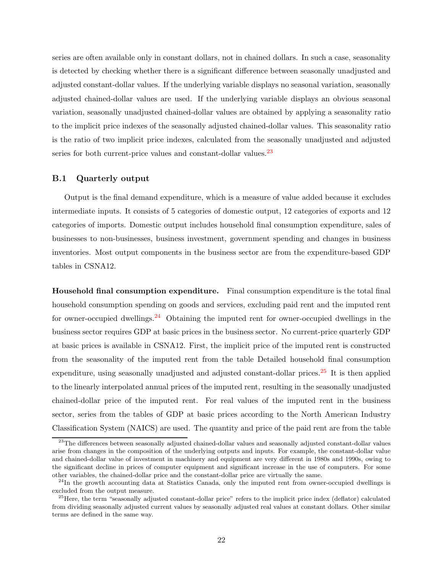series are often available only in constant dollars, not in chained dollars. In such a case, seasonality is detected by checking whether there is a significant difference between seasonally unadjusted and adjusted constant-dollar values. If the underlying variable displays no seasonal variation, seasonally adjusted chained-dollar values are used. If the underlying variable displays an obvious seasonal variation, seasonally unadjusted chained-dollar values are obtained by applying a seasonality ratio to the implicit price indexes of the seasonally adjusted chained-dollar values. This seasonality ratio is the ratio of two implicit price indexes, calculated from the seasonally unadjusted and adjusted series for both current-price values and constant-dollar values.<sup>[23](#page-25-0)</sup>

#### B.1 Quarterly output

Output is the final demand expenditure, which is a measure of value added because it excludes intermediate inputs. It consists of 5 categories of domestic output, 12 categories of exports and 12 categories of imports. Domestic output includes household final consumption expenditure, sales of businesses to non-businesses, business investment, government spending and changes in business inventories. Most output components in the business sector are from the expenditure-based GDP tables in CSNA12.

Household final consumption expenditure. Final consumption expenditure is the total final household consumption spending on goods and services, excluding paid rent and the imputed rent for owner-occupied dwellings.<sup>[24](#page-25-1)</sup> Obtaining the imputed rent for owner-occupied dwellings in the business sector requires GDP at basic prices in the business sector. No current-price quarterly GDP at basic prices is available in CSNA12. First, the implicit price of the imputed rent is constructed from the seasonality of the imputed rent from the table Detailed household final consumption expenditure, using seasonally unadjusted and adjusted constant-dollar prices. $^{25}$  $^{25}$  $^{25}$  It is then applied to the linearly interpolated annual prices of the imputed rent, resulting in the seasonally unadjusted chained-dollar price of the imputed rent. For real values of the imputed rent in the business sector, series from the tables of GDP at basic prices according to the North American Industry Classification System (NAICS) are used. The quantity and price of the paid rent are from the table

<span id="page-25-0"></span><sup>&</sup>lt;sup>23</sup>The differences between seasonally adjusted chained-dollar values and seasonally adjusted constant-dollar values arise from changes in the composition of the underlying outputs and inputs. For example, the constant-dollar value and chained-dollar value of investment in machinery and equipment are very different in 1980s and 1990s, owing to the significant decline in prices of computer equipment and significant increase in the use of computers. For some other variables, the chained-dollar price and the constant-dollar price are virtually the same.

<span id="page-25-1"></span> $^{24}$ In the growth accounting data at Statistics Canada, only the imputed rent from owner-occupied dwellings is excluded from the output measure.

<span id="page-25-2"></span><sup>&</sup>lt;sup>25</sup> Here, the term "seasonally adjusted constant-dollar price" refers to the implicit price index (deflator) calculated from dividing seasonally adjusted current values by seasonally adjusted real values at constant dollars. Other similar terms are defined in the same way.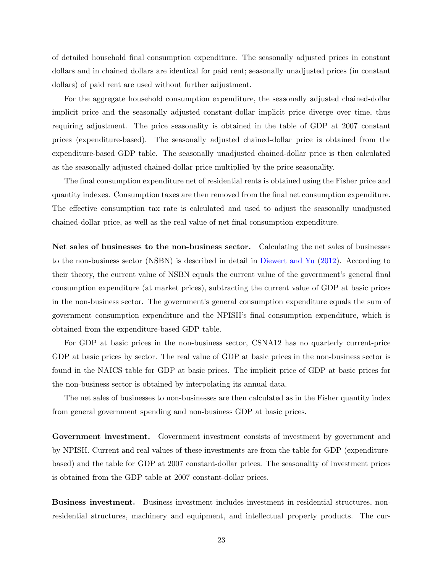of detailed household final consumption expenditure. The seasonally adjusted prices in constant dollars and in chained dollars are identical for paid rent; seasonally unadjusted prices (in constant dollars) of paid rent are used without further adjustment.

For the aggregate household consumption expenditure, the seasonally adjusted chained-dollar implicit price and the seasonally adjusted constant-dollar implicit price diverge over time, thus requiring adjustment. The price seasonality is obtained in the table of GDP at 2007 constant prices (expenditure-based). The seasonally adjusted chained-dollar price is obtained from the expenditure-based GDP table. The seasonally unadjusted chained-dollar price is then calculated as the seasonally adjusted chained-dollar price multiplied by the price seasonality.

The final consumption expenditure net of residential rents is obtained using the Fisher price and quantity indexes. Consumption taxes are then removed from the final net consumption expenditure. The effective consumption tax rate is calculated and used to adjust the seasonally unadjusted chained-dollar price, as well as the real value of net final consumption expenditure.

Net sales of businesses to the non-business sector. Calculating the net sales of businesses to the non-business sector (NSBN) is described in detail in [Diewert and Yu](#page-18-1) [\(2012](#page-18-1)). According to their theory, the current value of NSBN equals the current value of the government's general final consumption expenditure (at market prices), subtracting the current value of GDP at basic prices in the non-business sector. The government's general consumption expenditure equals the sum of government consumption expenditure and the NPISH's final consumption expenditure, which is obtained from the expenditure-based GDP table.

For GDP at basic prices in the non-business sector, CSNA12 has no quarterly current-price GDP at basic prices by sector. The real value of GDP at basic prices in the non-business sector is found in the NAICS table for GDP at basic prices. The implicit price of GDP at basic prices for the non-business sector is obtained by interpolating its annual data.

The net sales of businesses to non-businesses are then calculated as in the Fisher quantity index from general government spending and non-business GDP at basic prices.

Government investment. Government investment consists of investment by government and by NPISH. Current and real values of these investments are from the table for GDP (expenditurebased) and the table for GDP at 2007 constant-dollar prices. The seasonality of investment prices is obtained from the GDP table at 2007 constant-dollar prices.

Business investment. Business investment includes investment in residential structures, nonresidential structures, machinery and equipment, and intellectual property products. The cur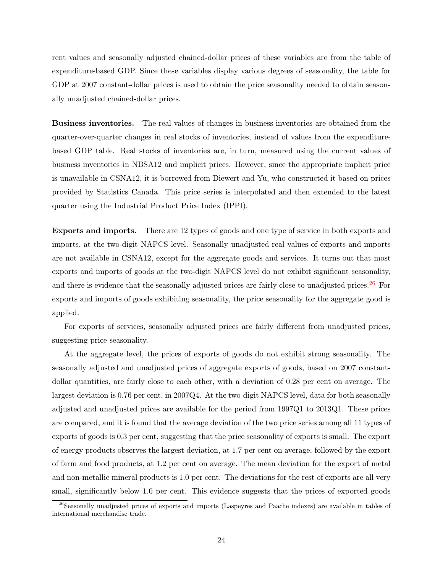rent values and seasonally adjusted chained-dollar prices of these variables are from the table of expenditure-based GDP. Since these variables display various degrees of seasonality, the table for GDP at 2007 constant-dollar prices is used to obtain the price seasonality needed to obtain seasonally unadjusted chained-dollar prices.

Business inventories. The real values of changes in business inventories are obtained from the quarter-over-quarter changes in real stocks of inventories, instead of values from the expenditurebased GDP table. Real stocks of inventories are, in turn, measured using the current values of business inventories in NBSA12 and implicit prices. However, since the appropriate implicit price is unavailable in CSNA12, it is borrowed from Diewert and Yu, who constructed it based on prices provided by Statistics Canada. This price series is interpolated and then extended to the latest quarter using the Industrial Product Price Index (IPPI).

Exports and imports. There are 12 types of goods and one type of service in both exports and imports, at the two-digit NAPCS level. Seasonally unadjusted real values of exports and imports are not available in CSNA12, except for the aggregate goods and services. It turns out that most exports and imports of goods at the two-digit NAPCS level do not exhibit significant seasonality, and there is evidence that the seasonally adjusted prices are fairly close to unadjusted prices.<sup>[26](#page-27-0)</sup> For exports and imports of goods exhibiting seasonality, the price seasonality for the aggregate good is applied.

For exports of services, seasonally adjusted prices are fairly different from unadjusted prices, suggesting price seasonality.

At the aggregate level, the prices of exports of goods do not exhibit strong seasonality. The seasonally adjusted and unadjusted prices of aggregate exports of goods, based on 2007 constantdollar quantities, are fairly close to each other, with a deviation of 0.28 per cent on average. The largest deviation is 0.76 per cent, in 2007Q4. At the two-digit NAPCS level, data for both seasonally adjusted and unadjusted prices are available for the period from 1997Q1 to 2013Q1. These prices are compared, and it is found that the average deviation of the two price series among all 11 types of exports of goods is 0.3 per cent, suggesting that the price seasonality of exports is small. The export of energy products observes the largest deviation, at 1.7 per cent on average, followed by the export of farm and food products, at 1.2 per cent on average. The mean deviation for the export of metal and non-metallic mineral products is 1.0 per cent. The deviations for the rest of exports are all very small, significantly below 1.0 per cent. This evidence suggests that the prices of exported goods

<span id="page-27-0"></span><sup>&</sup>lt;sup>26</sup>Seasonally unadjusted prices of exports and imports (Laspeyres and Paache indexes) are available in tables of international merchandise trade.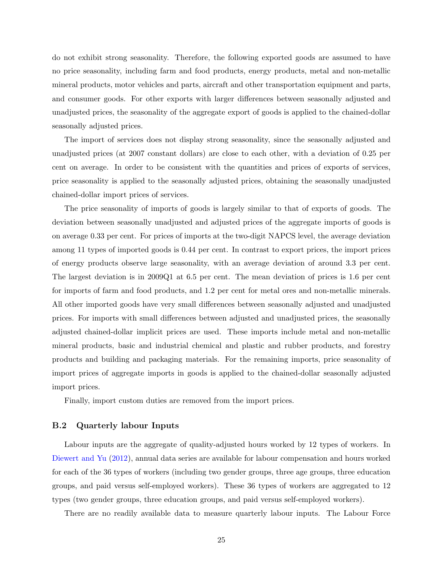do not exhibit strong seasonality. Therefore, the following exported goods are assumed to have no price seasonality, including farm and food products, energy products, metal and non-metallic mineral products, motor vehicles and parts, aircraft and other transportation equipment and parts, and consumer goods. For other exports with larger differences between seasonally adjusted and unadjusted prices, the seasonality of the aggregate export of goods is applied to the chained-dollar seasonally adjusted prices.

The import of services does not display strong seasonality, since the seasonally adjusted and unadjusted prices (at 2007 constant dollars) are close to each other, with a deviation of 0.25 per cent on average. In order to be consistent with the quantities and prices of exports of services, price seasonality is applied to the seasonally adjusted prices, obtaining the seasonally unadjusted chained-dollar import prices of services.

The price seasonality of imports of goods is largely similar to that of exports of goods. The deviation between seasonally unadjusted and adjusted prices of the aggregate imports of goods is on average 0.33 per cent. For prices of imports at the two-digit NAPCS level, the average deviation among 11 types of imported goods is 0.44 per cent. In contrast to export prices, the import prices of energy products observe large seasonality, with an average deviation of around 3.3 per cent. The largest deviation is in 2009Q1 at 6.5 per cent. The mean deviation of prices is 1.6 per cent for imports of farm and food products, and 1.2 per cent for metal ores and non-metallic minerals. All other imported goods have very small differences between seasonally adjusted and unadjusted prices. For imports with small differences between adjusted and unadjusted prices, the seasonally adjusted chained-dollar implicit prices are used. These imports include metal and non-metallic mineral products, basic and industrial chemical and plastic and rubber products, and forestry products and building and packaging materials. For the remaining imports, price seasonality of import prices of aggregate imports in goods is applied to the chained-dollar seasonally adjusted import prices.

Finally, import custom duties are removed from the import prices.

#### B.2 Quarterly labour Inputs

Labour inputs are the aggregate of quality-adjusted hours worked by 12 types of workers. In [Diewert and Yu](#page-18-1) [\(2012](#page-18-1)), annual data series are available for labour compensation and hours worked for each of the 36 types of workers (including two gender groups, three age groups, three education groups, and paid versus self-employed workers). These 36 types of workers are aggregated to 12 types (two gender groups, three education groups, and paid versus self-employed workers).

There are no readily available data to measure quarterly labour inputs. The Labour Force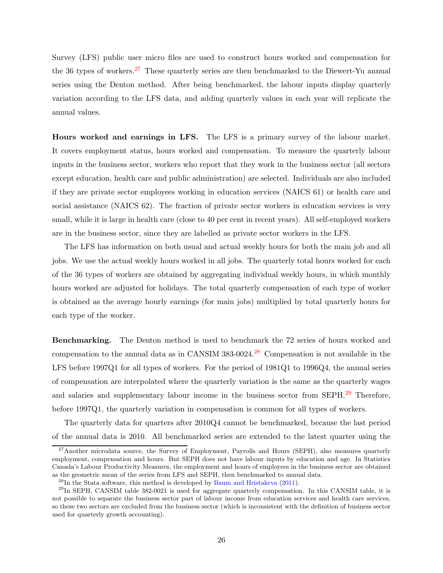Survey (LFS) public user micro files are used to construct hours worked and compensation for the 36 types of workers.<sup>[27](#page-29-0)</sup> These quarterly series are then benchmarked to the Diewert-Yu annual series using the Denton method. After being benchmarked, the labour inputs display quarterly variation according to the LFS data, and adding quarterly values in each year will replicate the annual values.

Hours worked and earnings in LFS. The LFS is a primary survey of the labour market. It covers employment status, hours worked and compensation. To measure the quarterly labour inputs in the business sector, workers who report that they work in the business sector (all sectors except education, health care and public administration) are selected. Individuals are also included if they are private sector employees working in education services (NAICS 61) or health care and social assistance (NAICS 62). The fraction of private sector workers in education services is very small, while it is large in health care (close to 40 per cent in recent years). All self-employed workers are in the business sector, since they are labelled as private sector workers in the LFS.

The LFS has information on both usual and actual weekly hours for both the main job and all jobs. We use the actual weekly hours worked in all jobs. The quarterly total hours worked for each of the 36 types of workers are obtained by aggregating individual weekly hours, in which monthly hours worked are adjusted for holidays. The total quarterly compensation of each type of worker is obtained as the average hourly earnings (for main jobs) multiplied by total quarterly hours for each type of the worker.

Benchmarking. The Denton method is used to benchmark the 72 series of hours worked and compensation to the annual data as in CANSIM  $383-0024$ .<sup>[28](#page-29-1)</sup> Compensation is not available in the LFS before 1997Q1 for all types of workers. For the period of 1981Q1 to 1996Q4, the annual series of compensation are interpolated where the quarterly variation is the same as the quarterly wages and salaries and supplementary labour income in the business sector from SEPH.<sup>[29](#page-29-2)</sup> Therefore, before 1997Q1, the quarterly variation in compensation is common for all types of workers.

The quarterly data for quarters after 2010Q4 cannot be benchmarked, because the last period of the annual data is 2010. All benchmarked series are extended to the latest quarter using the

<span id="page-29-0"></span><sup>&</sup>lt;sup>27</sup>Another microdata source, the Survey of Employment, Payrolls and Hours (SEPH), also measures quarterly employment, compensation and hours. But SEPH does not have labour inputs by education and age. In Statistics Canada's Labour Productivity Measures, the employment and hours of employees in the business sector are obtained as the geometric mean of the series from LFS and SEPH, then benchmarked to annual data.

<span id="page-29-1"></span> $^{28}$ In the Stata software, this method is developed by [Baum and Hristakeva](#page-18-9) [\(2011](#page-18-9)).

<span id="page-29-2"></span> $^{29}$ In SEPH, CANSIM table 382-0021 is used for aggregate quarterly compensation. In this CANSIM table, it is not possible to separate the business sector part of labour income from education services and health care services, so these two sectors are excluded from the business sector (which is inconsistent with the definition of business sector used for quarterly growth accounting).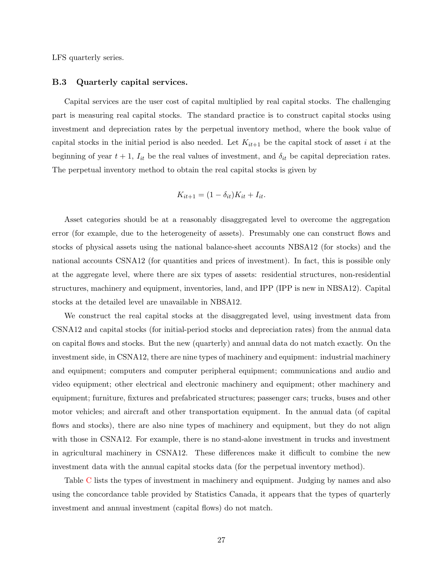LFS quarterly series.

#### B.3 Quarterly capital services.

Capital services are the user cost of capital multiplied by real capital stocks. The challenging part is measuring real capital stocks. The standard practice is to construct capital stocks using investment and depreciation rates by the perpetual inventory method, where the book value of capital stocks in the initial period is also needed. Let  $K_{it+1}$  be the capital stock of asset i at the beginning of year  $t + 1$ ,  $I_{it}$  be the real values of investment, and  $\delta_{it}$  be capital depreciation rates. The perpetual inventory method to obtain the real capital stocks is given by

$$
K_{it+1} = (1 - \delta_{it})K_{it} + I_{it}.
$$

Asset categories should be at a reasonably disaggregated level to overcome the aggregation error (for example, due to the heterogeneity of assets). Presumably one can construct flows and stocks of physical assets using the national balance-sheet accounts NBSA12 (for stocks) and the national accounts CSNA12 (for quantities and prices of investment). In fact, this is possible only at the aggregate level, where there are six types of assets: residential structures, non-residential structures, machinery and equipment, inventories, land, and IPP (IPP is new in NBSA12). Capital stocks at the detailed level are unavailable in NBSA12.

We construct the real capital stocks at the disaggregated level, using investment data from CSNA12 and capital stocks (for initial-period stocks and depreciation rates) from the annual data on capital flows and stocks. But the new (quarterly) and annual data do not match exactly. On the investment side, in CSNA12, there are nine types of machinery and equipment: industrial machinery and equipment; computers and computer peripheral equipment; communications and audio and video equipment; other electrical and electronic machinery and equipment; other machinery and equipment; furniture, fixtures and prefabricated structures; passenger cars; trucks, buses and other motor vehicles; and aircraft and other transportation equipment. In the annual data (of capital flows and stocks), there are also nine types of machinery and equipment, but they do not align with those in CSNA12. For example, there is no stand-alone investment in trucks and investment in agricultural machinery in CSNA12. These differences make it difficult to combine the new investment data with the annual capital stocks data (for the perpetual inventory method).

Table [C](#page-31-0) lists the types of investment in machinery and equipment. Judging by names and also using the concordance table provided by Statistics Canada, it appears that the types of quarterly investment and annual investment (capital flows) do not match.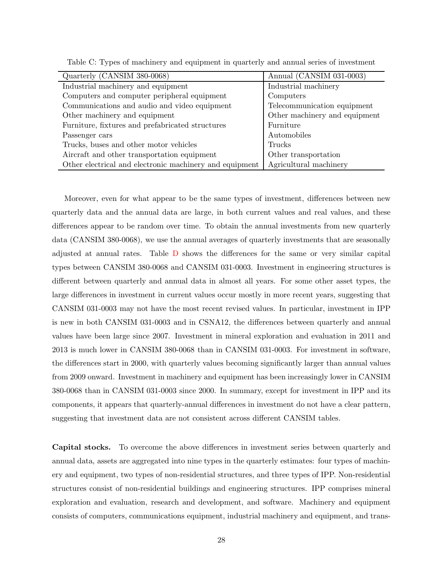| Quarterly (CANSIM 380-0068)                             | Annual (CANSIM 031-0003)      |
|---------------------------------------------------------|-------------------------------|
| Industrial machinery and equipment                      | Industrial machinery          |
| Computers and computer peripheral equipment             | Computers                     |
| Communications and audio and video equipment            | Telecommunication equipment   |
| Other machinery and equipment                           | Other machinery and equipment |
| Furniture, fixtures and prefabricated structures        | Furniture                     |
| Passenger cars                                          | Automobiles                   |
| Trucks, buses and other motor vehicles                  | Trucks                        |
| Aircraft and other transportation equipment             | Other transportation          |
| Other electrical and electronic machinery and equipment | Agricultural machinery        |

<span id="page-31-0"></span>Table C: Types of machinery and equipment in quarterly and annual series of investment

Moreover, even for what appear to be the same types of investment, differences between new quarterly data and the annual data are large, in both current values and real values, and these differences appear to be random over time. To obtain the annual investments from new quarterly data (CANSIM 380-0068), we use the annual averages of quarterly investments that are seasonally adjusted at annual rates. Table [D](#page-32-0) shows the differences for the same or very similar capital types between CANSIM 380-0068 and CANSIM 031-0003. Investment in engineering structures is different between quarterly and annual data in almost all years. For some other asset types, the large differences in investment in current values occur mostly in more recent years, suggesting that CANSIM 031-0003 may not have the most recent revised values. In particular, investment in IPP is new in both CANSIM 031-0003 and in CSNA12, the differences between quarterly and annual values have been large since 2007. Investment in mineral exploration and evaluation in 2011 and 2013 is much lower in CANSIM 380-0068 than in CANSIM 031-0003. For investment in software, the differences start in 2000, with quarterly values becoming significantly larger than annual values from 2009 onward. Investment in machinery and equipment has been increasingly lower in CANSIM 380-0068 than in CANSIM 031-0003 since 2000. In summary, except for investment in IPP and its components, it appears that quarterly-annual differences in investment do not have a clear pattern, suggesting that investment data are not consistent across different CANSIM tables.

Capital stocks. To overcome the above differences in investment series between quarterly and annual data, assets are aggregated into nine types in the quarterly estimates: four types of machinery and equipment, two types of non-residential structures, and three types of IPP. Non-residential structures consist of non-residential buildings and engineering structures. IPP comprises mineral exploration and evaluation, research and development, and software. Machinery and equipment consists of computers, communications equipment, industrial machinery and equipment, and trans-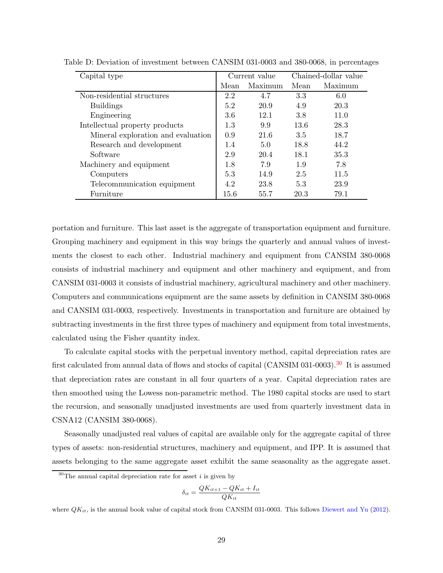<span id="page-32-0"></span>

| Capital type                       | Current value |         | Chained-dollar value |         |
|------------------------------------|---------------|---------|----------------------|---------|
|                                    | Mean          | Maximum | Mean                 | Maximum |
| Non-residential structures         | 2.2           | 4.7     | 3.3                  | 6.0     |
| <b>Buildings</b>                   | 5.2           | 20.9    | 4.9                  | 20.3    |
| Engineering                        | 3.6           | 12.1    | 3.8                  | 11.0    |
| Intellectual property products     | 1.3           | 9.9     | 13.6                 | 28.3    |
| Mineral exploration and evaluation | 0.9           | 21.6    | 3.5                  | 18.7    |
| Research and development           | 1.4           | 5.0     | 18.8                 | 44.2    |
| Software                           | 2.9           | 20.4    | 18.1                 | 35.3    |
| Machinery and equipment            | 1.8           | 7.9     | 1.9                  | 7.8     |
| Computers                          | 5.3           | 14.9    | 2.5                  | 11.5    |
| Telecommunication equipment        | 4.2           | 23.8    | 5.3                  | 23.9    |
| Furniture                          | 15.6          | 55.7    | 20.3                 | 79.1    |

Table D: Deviation of investment between CANSIM 031-0003 and 380-0068, in percentages

portation and furniture. This last asset is the aggregate of transportation equipment and furniture. Grouping machinery and equipment in this way brings the quarterly and annual values of investments the closest to each other. Industrial machinery and equipment from CANSIM 380-0068 consists of industrial machinery and equipment and other machinery and equipment, and from CANSIM 031-0003 it consists of industrial machinery, agricultural machinery and other machinery. Computers and communications equipment are the same assets by definition in CANSIM 380-0068 and CANSIM 031-0003, respectively. Investments in transportation and furniture are obtained by subtracting investments in the first three types of machinery and equipment from total investments, calculated using the Fisher quantity index.

To calculate capital stocks with the perpetual inventory method, capital depreciation rates are first calculated from annual data of flows and stocks of capital (CANSIM 031-0003).<sup>[30](#page-32-1)</sup> It is assumed that depreciation rates are constant in all four quarters of a year. Capital depreciation rates are then smoothed using the Lowess non-parametric method. The 1980 capital stocks are used to start the recursion, and seasonally unadjusted investments are used from quarterly investment data in CSNA12 (CANSIM 380-0068).

Seasonally unadjusted real values of capital are available only for the aggregate capital of three types of assets: non-residential structures, machinery and equipment, and IPP. It is assumed that assets belonging to the same aggregate asset exhibit the same seasonality as the aggregate asset.

$$
\delta_{it} = \frac{QK_{it+1} - QK_{it} + I_{it}}{QK_{it}}
$$

<span id="page-32-1"></span><sup>&</sup>lt;sup>30</sup>The annual capital depreciation rate for asset i is given by

where  $QK_{it}$ , is the annual book value of capital stock from CANSIM 031-0003. This follows [Diewert and Yu](#page-18-1) [\(2012\)](#page-18-1).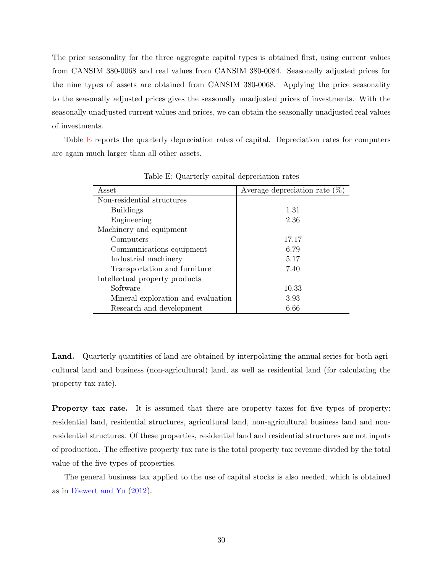The price seasonality for the three aggregate capital types is obtained first, using current values from CANSIM 380-0068 and real values from CANSIM 380-0084. Seasonally adjusted prices for the nine types of assets are obtained from CANSIM 380-0068. Applying the price seasonality to the seasonally adjusted prices gives the seasonally unadjusted prices of investments. With the seasonally unadjusted current values and prices, we can obtain the seasonally unadjusted real values of investments.

Table [E](#page-33-0) reports the quarterly depreciation rates of capital. Depreciation rates for computers are again much larger than all other assets.

| Asset                              | Average depreciation rate $(\% )$ |
|------------------------------------|-----------------------------------|
| Non-residential structures         |                                   |
| <b>Buildings</b>                   | 1.31                              |
| Engineering                        | 2.36                              |
| Machinery and equipment            |                                   |
| Computers                          | 17.17                             |
| Communications equipment           | 6.79                              |
| Industrial machinery               | 5.17                              |
| Transportation and furniture       | 7.40                              |
| Intellectual property products     |                                   |
| Software                           | 10.33                             |
| Mineral exploration and evaluation | 3.93                              |
| Research and development           | 6.66                              |

<span id="page-33-0"></span>Table E: Quarterly capital depreciation rates

Land. Quarterly quantities of land are obtained by interpolating the annual series for both agricultural land and business (non-agricultural) land, as well as residential land (for calculating the property tax rate).

Property tax rate. It is assumed that there are property taxes for five types of property: residential land, residential structures, agricultural land, non-agricultural business land and nonresidential structures. Of these properties, residential land and residential structures are not inputs of production. The effective property tax rate is the total property tax revenue divided by the total value of the five types of properties.

The general business tax applied to the use of capital stocks is also needed, which is obtained as in [Diewert and Yu](#page-18-1) [\(2012](#page-18-1)).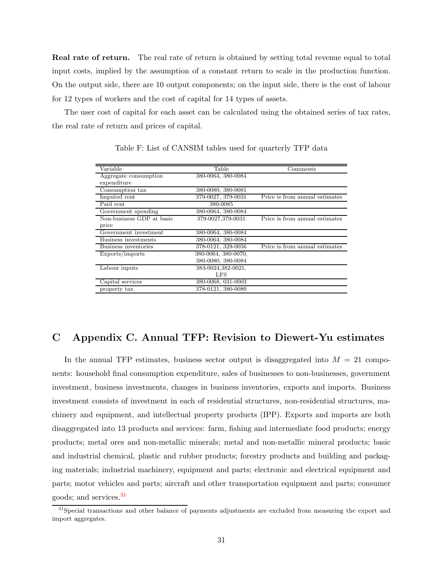**Real rate of return.** The real rate of return is obtained by setting total revenue equal to total input costs, implied by the assumption of a constant return to scale in the production function. On the output side, there are 10 output components; on the input side, there is the cost of labour for 12 types of workers and the cost of capital for 14 types of assets.

The user cost of capital for each asset can be calculated using the obtained series of tax rates, the real rate of return and prices of capital.

| Variable                  | Table               | Comments                       |
|---------------------------|---------------------|--------------------------------|
| Aggregate consumption     | 380-0064, 380-0084  |                                |
| expenditure               |                     |                                |
| Consumption tax           | 380-0080, 380-0081  |                                |
| Imputed rent              | 379-0027, 379-0031  | Price is from annual estimates |
| Paid rent                 | 380-0085            |                                |
| Government spending       | 380-0064, 380-0084  |                                |
| Non-business GDP at basic | 379-0027,379-0031   | Price is from annual estimates |
| price                     |                     |                                |
| Government investment     | 380-0064, 380-0084  |                                |
| Business investments      | 380-0064, 380-0084  |                                |
| Business inventories      | 378-0121, 329-0056  | Price is from annual estimates |
| Exports/imports           | 380-0064, 380-0070, |                                |
|                           | 380-0080, 380-0084  |                                |
| Labour inputs             | 383-0024,382-0021,  |                                |
|                           | LFS                 |                                |
| Capital services          | 380-0068, 031-0003  |                                |
| property tax              | 378-0121, 380-0080  |                                |

<span id="page-34-0"></span>Table F: List of CANSIM tables used for quarterly TFP data

## C Appendix C. Annual TFP: Revision to Diewert-Yu estimates

In the annual TFP estimates, business sector output is disaggregated into  $M = 21$  components: household final consumption expenditure, sales of businesses to non-businesses, government investment, business investments, changes in business inventories, exports and imports. Business investment consists of investment in each of residential structures, non-residential structures, machinery and equipment, and intellectual property products (IPP). Exports and imports are both disaggregated into 13 products and services: farm, fishing and intermediate food products; energy products; metal ores and non-metallic minerals; metal and non-metallic mineral products; basic and industrial chemical, plastic and rubber products; forestry products and building and packaging materials; industrial machinery, equipment and parts; electronic and electrical equipment and parts; motor vehicles and parts; aircraft and other transportation equipment and parts; consumer goods; and services.[31](#page-34-1)

<span id="page-34-1"></span><sup>&</sup>lt;sup>31</sup>Special transactions and other balance of payments adjustments are excluded from measuring the export and import aggregates.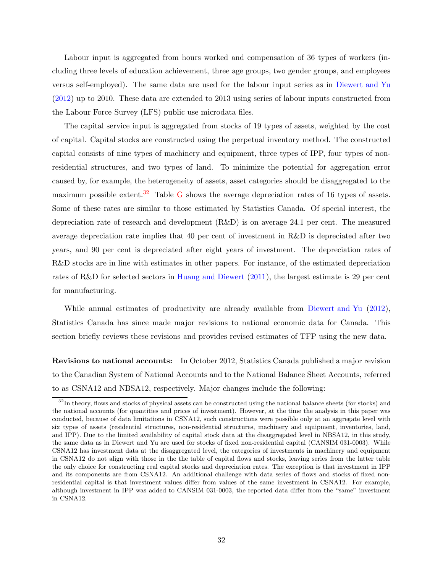Labour input is aggregated from hours worked and compensation of 36 types of workers (including three levels of education achievement, three age groups, two gender groups, and employees versus self-employed). The same data are used for the labour input series as in [Diewert and Yu](#page-18-1) [\(2012](#page-18-1)) up to 2010. These data are extended to 2013 using series of labour inputs constructed from the Labour Force Survey (LFS) public use microdata files.

The capital service input is aggregated from stocks of 19 types of assets, weighted by the cost of capital. Capital stocks are constructed using the perpetual inventory method. The constructed capital consists of nine types of machinery and equipment, three types of IPP, four types of nonresidential structures, and two types of land. To minimize the potential for aggregation error caused by, for example, the heterogeneity of assets, asset categories should be disaggregated to the maximum possible extent.<sup>[32](#page-35-0)</sup> Table [G](#page-36-0) shows the average depreciation rates of 16 types of assets. Some of these rates are similar to those estimated by Statistics Canada. Of special interest, the depreciation rate of research and development (R&D) is on average 24.1 per cent. The measured average depreciation rate implies that 40 per cent of investment in R&D is depreciated after two years, and 90 per cent is depreciated after eight years of investment. The depreciation rates of R&D stocks are in line with estimates in other papers. For instance, of the estimated depreciation rates of R&D for selected sectors in [Huang and Diewert](#page-18-10) [\(2011](#page-18-10)), the largest estimate is 29 per cent for manufacturing.

While annual estimates of productivity are already available from [Diewert and Yu](#page-18-1) [\(2012](#page-18-1)), Statistics Canada has since made major revisions to national economic data for Canada. This section briefly reviews these revisions and provides revised estimates of TFP using the new data.

Revisions to national accounts: In October 2012, Statistics Canada published a major revision to the Canadian System of National Accounts and to the National Balance Sheet Accounts, referred to as CSNA12 and NBSA12, respectively. Major changes include the following:

<span id="page-35-0"></span><sup>&</sup>lt;sup>32</sup>In theory, flows and stocks of physical assets can be constructed using the national balance sheets (for stocks) and the national accounts (for quantities and prices of investment). However, at the time the analysis in this paper was conducted, because of data limitations in CSNA12, such constructions were possible only at an aggregate level with six types of assets (residential structures, non-residential structures, machinery and equipment, inventories, land, and IPP). Due to the limited availability of capital stock data at the disaggregated level in NBSA12, in this study, the same data as in Diewert and Yu are used for stocks of fixed non-residential capital (CANSIM 031-0003). While CSNA12 has investment data at the disaggregated level, the categories of investments in machinery and equipment in CSNA12 do not align with those in the the table of capital flows and stocks, leaving series from the latter table the only choice for constructing real capital stocks and depreciation rates. The exception is that investment in IPP and its components are from CSNA12. An additional challenge with data series of flows and stocks of fixed nonresidential capital is that investment values differ from values of the same investment in CSNA12. For example, although investment in IPP was added to CANSIM 031-0003, the reported data differ from the "same" investment in CSNA12.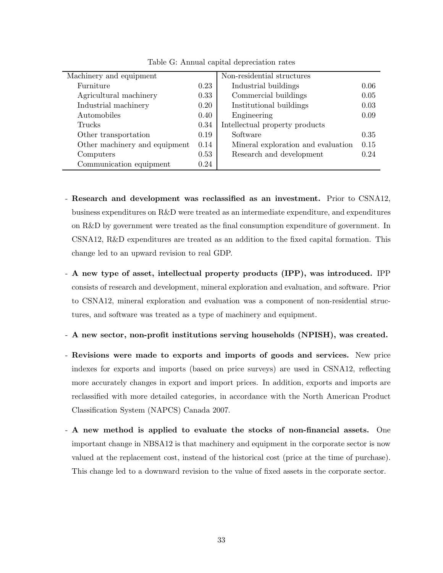| Non-residential structures                                           |
|----------------------------------------------------------------------|
| Industrial buildings<br>0.06                                         |
| Commercial buildings<br>0.05                                         |
| Institutional buildings<br>0.03                                      |
| 0.09<br>Engineering                                                  |
| Intellectual property products                                       |
| Software<br>0.35                                                     |
| 0.15<br>Mineral exploration and evaluation                           |
| 0.24<br>Research and development                                     |
|                                                                      |
| 0.23<br>0.33<br>0.20<br>0.40<br>0.34<br>0.19<br>0.14<br>0.53<br>0.24 |

<span id="page-36-0"></span>Table G: Annual capital depreciation rates

- Research and development was reclassified as an investment. Prior to CSNA12, business expenditures on R&D were treated as an intermediate expenditure, and expenditures on R&D by government were treated as the final consumption expenditure of government. In CSNA12, R&D expenditures are treated as an addition to the fixed capital formation. This change led to an upward revision to real GDP.
- A new type of asset, intellectual property products (IPP), was introduced. IPP consists of research and development, mineral exploration and evaluation, and software. Prior to CSNA12, mineral exploration and evaluation was a component of non-residential structures, and software was treated as a type of machinery and equipment.
- A new sector, non-profit institutions serving households (NPISH), was created.
- Revisions were made to exports and imports of goods and services. New price indexes for exports and imports (based on price surveys) are used in CSNA12, reflecting more accurately changes in export and import prices. In addition, exports and imports are reclassified with more detailed categories, in accordance with the North American Product Classification System (NAPCS) Canada 2007.
- A new method is applied to evaluate the stocks of non-financial assets. One important change in NBSA12 is that machinery and equipment in the corporate sector is now valued at the replacement cost, instead of the historical cost (price at the time of purchase). This change led to a downward revision to the value of fixed assets in the corporate sector.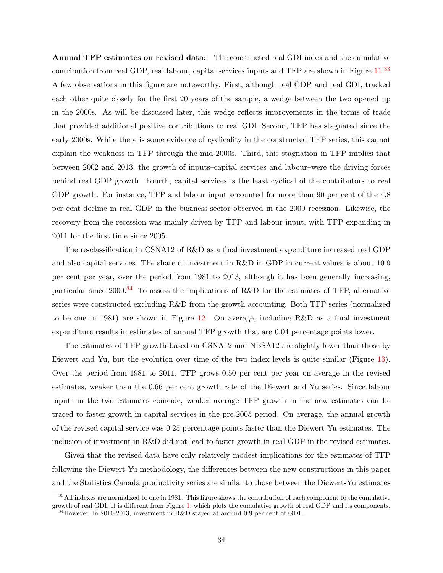Annual TFP estimates on revised data: The constructed real GDI index and the cumulative contribution from real GDP, real labour, capital services inputs and TFP are shown in Figure [11.](#page-45-1)<sup>[33](#page-37-0)</sup> A few observations in this figure are noteworthy. First, although real GDP and real GDI, tracked each other quite closely for the first 20 years of the sample, a wedge between the two opened up in the 2000s. As will be discussed later, this wedge reflects improvements in the terms of trade that provided additional positive contributions to real GDI. Second, TFP has stagnated since the early 2000s. While there is some evidence of cyclicality in the constructed TFP series, this cannot explain the weakness in TFP through the mid-2000s. Third, this stagnation in TFP implies that between 2002 and 2013, the growth of inputs–capital services and labour–were the driving forces behind real GDP growth. Fourth, capital services is the least cyclical of the contributors to real GDP growth. For instance, TFP and labour input accounted for more than 90 per cent of the 4.8 per cent decline in real GDP in the business sector observed in the 2009 recession. Likewise, the recovery from the recession was mainly driven by TFP and labour input, with TFP expanding in 2011 for the first time since 2005.

The re-classification in CSNA12 of R&D as a final investment expenditure increased real GDP and also capital services. The share of investment in R&D in GDP in current values is about 10.9 per cent per year, over the period from 1981 to 2013, although it has been generally increasing, particular since 2000.<sup>[34](#page-37-1)</sup> To assess the implications of R&D for the estimates of TFP, alternative series were constructed excluding R&D from the growth accounting. Both TFP series (normalized to be one in 1981) are shown in Figure [12.](#page-46-0) On average, including R&D as a final investment expenditure results in estimates of annual TFP growth that are 0.04 percentage points lower.

The estimates of TFP growth based on CSNA12 and NBSA12 are slightly lower than those by Diewert and Yu, but the evolution over time of the two index levels is quite similar (Figure [13\)](#page-46-1). Over the period from 1981 to 2011, TFP grows 0.50 per cent per year on average in the revised estimates, weaker than the 0.66 per cent growth rate of the Diewert and Yu series. Since labour inputs in the two estimates coincide, weaker average TFP growth in the new estimates can be traced to faster growth in capital services in the pre-2005 period. On average, the annual growth of the revised capital service was 0.25 percentage points faster than the Diewert-Yu estimates. The inclusion of investment in R&D did not lead to faster growth in real GDP in the revised estimates.

Given that the revised data have only relatively modest implications for the estimates of TFP following the Diewert-Yu methodology, the differences between the new constructions in this paper and the Statistics Canada productivity series are similar to those between the Diewert-Yu estimates

<span id="page-37-1"></span><span id="page-37-0"></span><sup>&</sup>lt;sup>33</sup>All indexes are normalized to one in 1981. This figure shows the contribution of each component to the cumulative growth of real GDI. It is different from Figure [1,](#page-40-0) which plots the cumulative growth of real GDP and its components.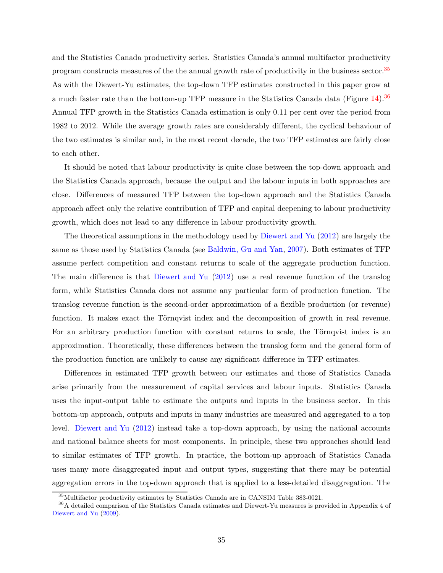and the Statistics Canada productivity series. Statistics Canada's annual multifactor productivity program constructs measures of the the annual growth rate of productivity in the business sector.[35](#page-38-0) As with the Diewert-Yu estimates, the top-down TFP estimates constructed in this paper grow at a much faster rate than the bottom-up TFP measure in the Statistics Canada data (Figure [14\)](#page-47-0).[36](#page-38-1) Annual TFP growth in the Statistics Canada estimation is only 0.11 per cent over the period from 1982 to 2012. While the average growth rates are considerably different, the cyclical behaviour of the two estimates is similar and, in the most recent decade, the two TFP estimates are fairly close to each other.

It should be noted that labour productivity is quite close between the top-down approach and the Statistics Canada approach, because the output and the labour inputs in both approaches are close. Differences of measured TFP between the top-down approach and the Statistics Canada approach affect only the relative contribution of TFP and capital deepening to labour productivity growth, which does not lead to any difference in labour productivity growth.

The theoretical assumptions in the methodology used by [Diewert and Yu](#page-18-1) [\(2012](#page-18-1)) are largely the same as those used by Statistics Canada (see [Baldwin, Gu and Yan](#page-18-11), [2007](#page-18-11)). Both estimates of TFP assume perfect competition and constant returns to scale of the aggregate production function. The main difference is that [Diewert and Yu](#page-18-1) [\(2012](#page-18-1)) use a real revenue function of the translog form, while Statistics Canada does not assume any particular form of production function. The translog revenue function is the second-order approximation of a flexible production (or revenue) function. It makes exact the Törnqvist index and the decomposition of growth in real revenue. For an arbitrary production function with constant returns to scale, the Törnqvist index is an approximation. Theoretically, these differences between the translog form and the general form of the production function are unlikely to cause any significant difference in TFP estimates.

Differences in estimated TFP growth between our estimates and those of Statistics Canada arise primarily from the measurement of capital services and labour inputs. Statistics Canada uses the input-output table to estimate the outputs and inputs in the business sector. In this bottom-up approach, outputs and inputs in many industries are measured and aggregated to a top level. [Diewert and Yu](#page-18-1) [\(2012](#page-18-1)) instead take a top-down approach, by using the national accounts and national balance sheets for most components. In principle, these two approaches should lead to similar estimates of TFP growth. In practice, the bottom-up approach of Statistics Canada uses many more disaggregated input and output types, suggesting that there may be potential aggregation errors in the top-down approach that is applied to a less-detailed disaggregation. The

<span id="page-38-0"></span><sup>35</sup>Multifactor productivity estimates by Statistics Canada are in CANSIM Table 383-0021.

<span id="page-38-1"></span><sup>36</sup>A detailed comparison of the Statistics Canada estimates and Diewert-Yu measures is provided in Appendix 4 of [Diewert and Yu](#page-18-0) [\(2009\)](#page-18-0).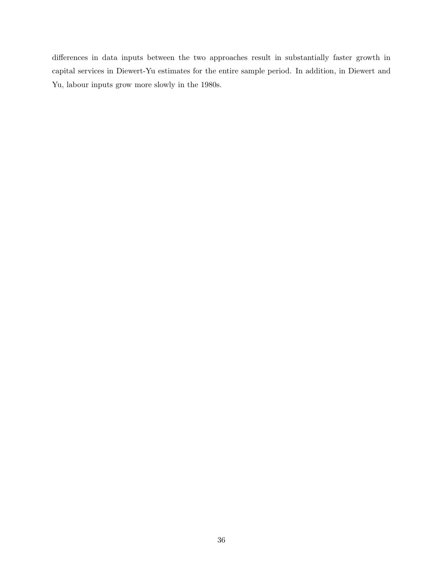differences in data inputs between the two approaches result in substantially faster growth in capital services in Diewert-Yu estimates for the entire sample period. In addition, in Diewert and Yu, labour inputs grow more slowly in the 1980s.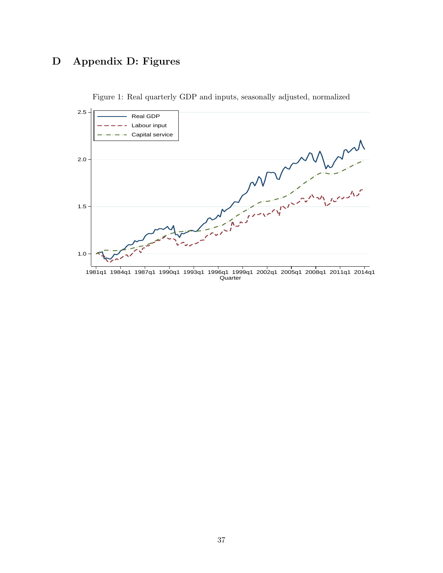## D Appendix D: Figures



<span id="page-40-0"></span>Figure 1: Real quarterly GDP and inputs, seasonally adjusted, normalized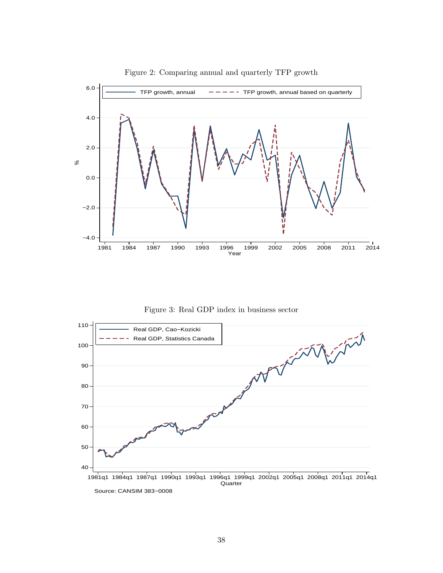

<span id="page-41-0"></span>Figure 2: Comparing annual and quarterly TFP growth

<span id="page-41-1"></span>Figure 3: Real GDP index in business sector



Source: CANSIM 383−0008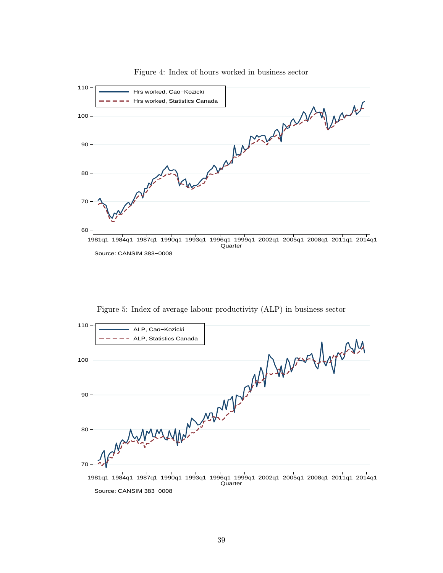

<span id="page-42-0"></span>Figure 4: Index of hours worked in business sector

<span id="page-42-1"></span>

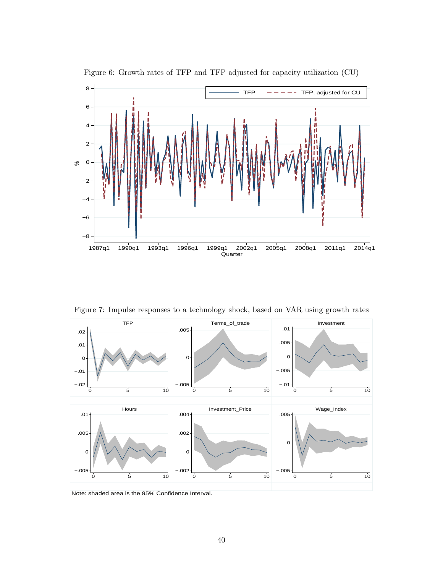

<span id="page-43-0"></span>Figure 6: Growth rates of TFP and TFP adjusted for capacity utilization (CU)

<span id="page-43-1"></span>Figure 7: Impulse responses to a technology shock, based on VAR using growth rates



Note: shaded area is the 95% Confidence Interval.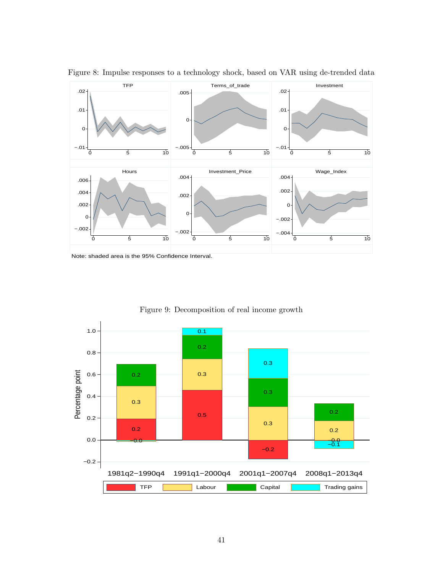

<span id="page-44-0"></span>Figure 8: Impulse responses to a technology shock, based on VAR using de-trended data

1.0  $0.1$ 0.2 0.8 0.3 Percentage point Percentage point 0.3 0.6 0.2 0.3 0.4 0.3 0.2 0.5 0.2 0.3 0.2 0.2 0.0 −0.0 −0.1 −0.0  $-0.2$  $-0.2 -$ 1981q2−1990q4 1991q1−2000q4 2001q1−2007q4 2008q1−2013q4 TFP | Labour | Capital Capital Trading gains

<span id="page-44-1"></span>Figure 9: Decomposition of real income growth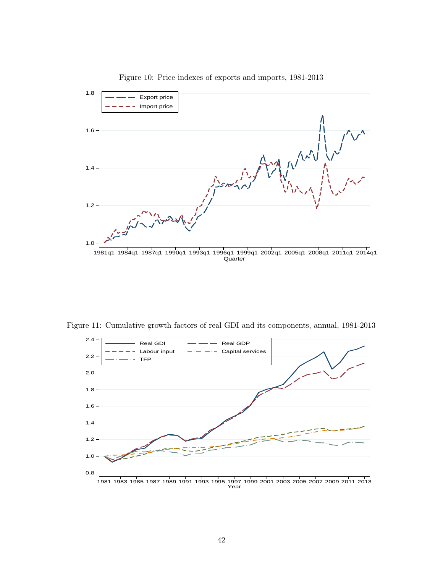

<span id="page-45-0"></span>Figure 10: Price indexes of exports and imports, 1981-2013

Figure 11: Cumulative growth factors of real GDI and its components, annual, 1981-2013

<span id="page-45-1"></span>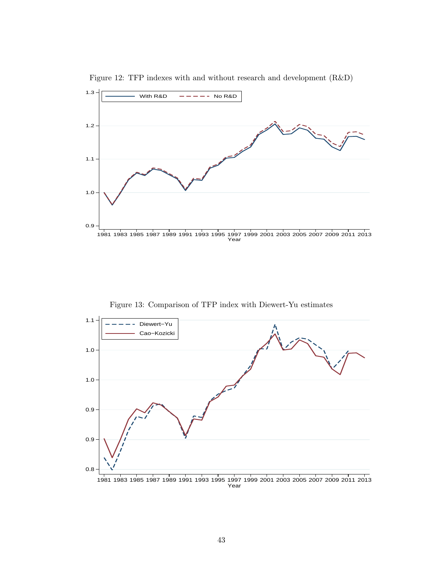

<span id="page-46-0"></span>Figure 12: TFP indexes with and without research and development (R&D)

<span id="page-46-1"></span>Figure 13: Comparison of TFP index with Diewert-Yu estimates